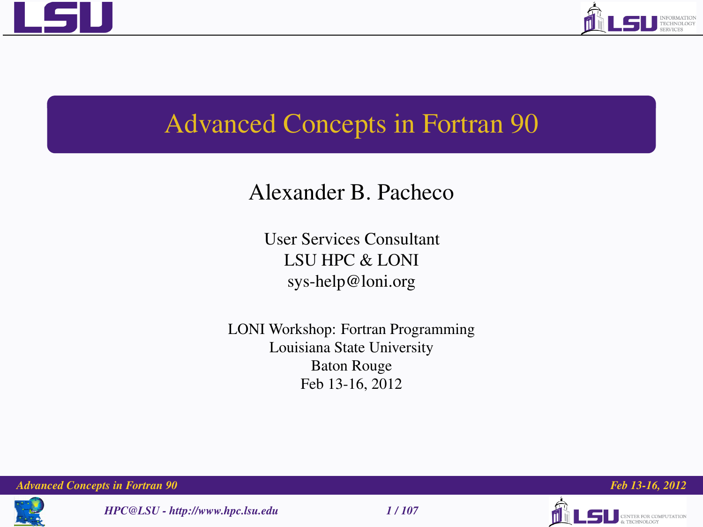



# Advanced Concepts in Fortran 90

## Alexander B. Pacheco

User Services Consultant LSU HPC & LONI sys-help@loni.org

LONI Workshop: Fortran Programming Louisiana State University Baton Rouge Feb 13-16, 2012

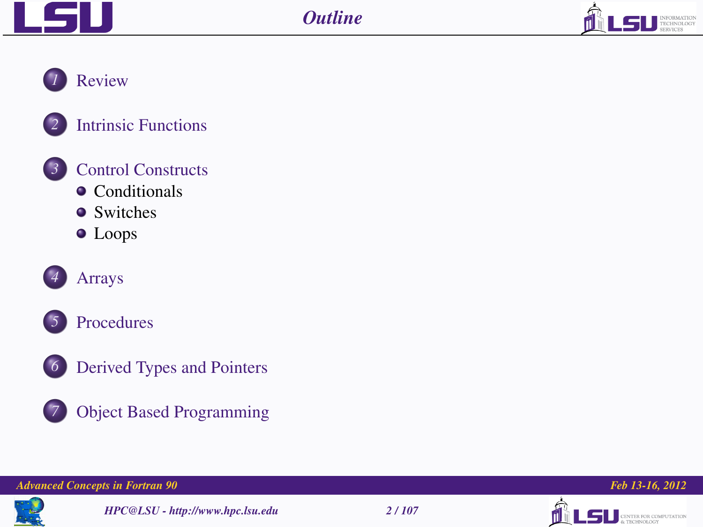



*1* [Review](#page-2-0)





*3* [Control Constructs](#page-14-0)

- [Conditionals](#page-16-0)
- [Switches](#page-22-0)
- [Loops](#page-25-0)











*7* [Object Based Programming](#page-97-0)

### *Advanced Concepts in Fortran 90 Feb 13-16, 2012*



*HPC@LSU - http://www.hpc.lsu.edu 2 / 107*



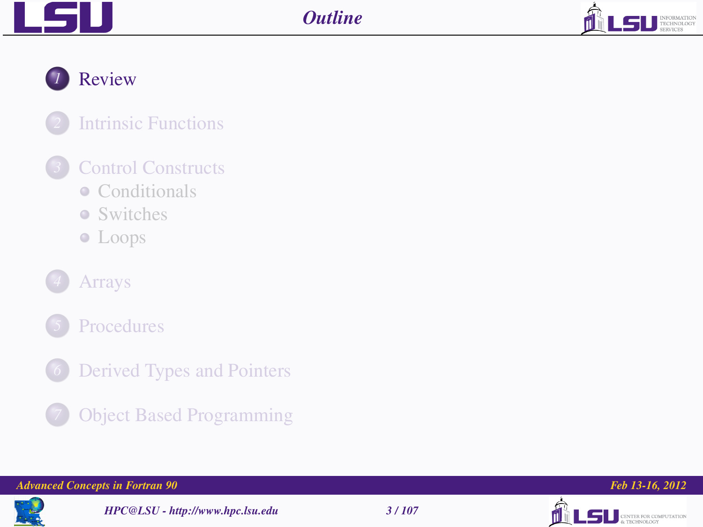



*1* [Review](#page-2-0)

## *2* [Intrinsic Functions](#page-10-0)

## *3* [Control Constructs](#page-14-0)

- [Conditionals](#page-16-0)
- [Switches](#page-22-0)
- [Loops](#page-25-0)
- *4* [Arrays](#page-31-0)
- *5* [Procedures](#page-55-0)
- *[Derived Types and Pointers](#page-86-0)* 
	- *7* [Object Based Programming](#page-97-0)

#### *Advanced Concepts in Fortran 90 Feb 13-16, 2012*



*HPC@LSU - http://www.hpc.lsu.edu 3 / 107*



<span id="page-2-0"></span>

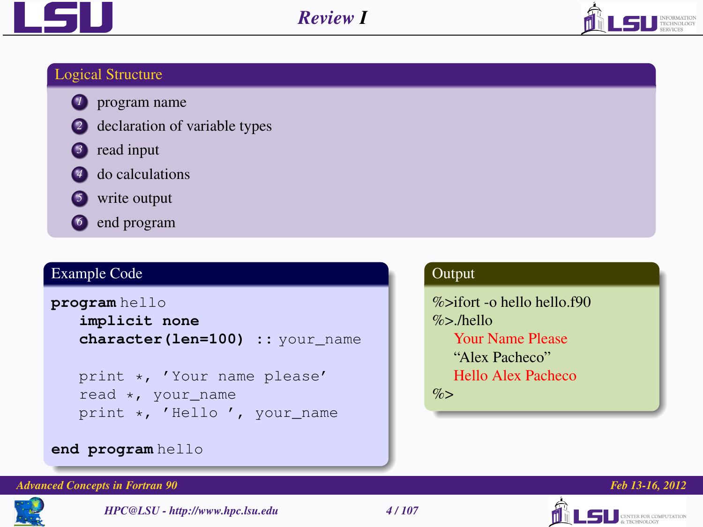



## Logical Structure

- *1* program name
- *2* declaration of variable types
- *3* read input
- **4** do calculations
- **5** write output
- *6* end program

## Example Code

```
program hello
```

```
implicit none
character(len=100) :: your_name
```
print \*, 'Your name please' read \*, your\_name print \*, 'Hello ', your name

## **Output**

%>ifort -o hello hello.f90  $%$ >/hello Your Name Please "Alex Pacheco" Hello Alex Pacheco  $%$ 

## **end program** hello

### *Advanced Concepts in Fortran 90 Feb 13-16, 2012*



*HPC@LSU - http://www.hpc.lsu.edu 4 / 107*



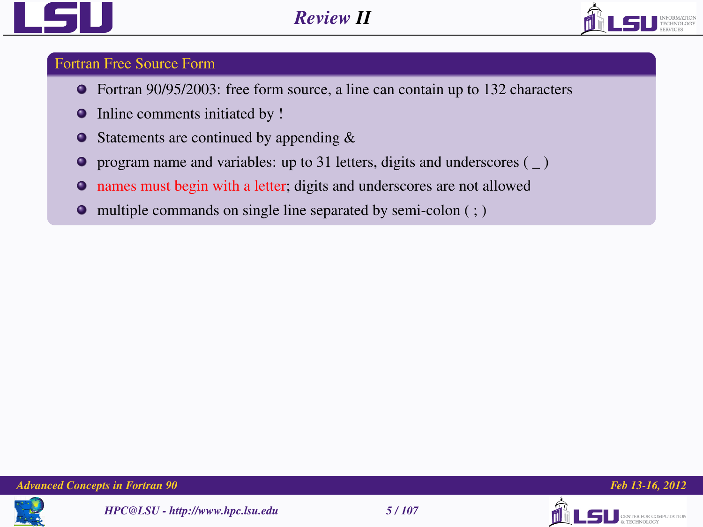



### Fortran Free Source Form

- Fortran 90/95/2003: free form source, a line can contain up to 132 characters
- Inline comments initiated by !  $\bullet$
- Statements are continued by appending &  $\bullet$
- $\bullet$ program name and variables: up to 31 letters, digits and underscores ( \_ )
- names must begin with a letter; digits and underscores are not allowed  $\bullet$
- $\bullet$  multiple commands on single line separated by semi-colon  $( ; )$





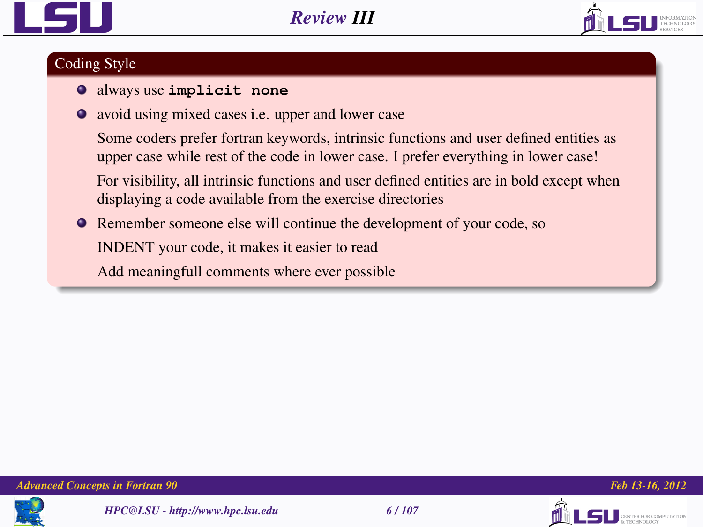



### Coding Style

- always use **implicit none**
- avoid using mixed cases i.e. upper and lower case

Some coders prefer fortran keywords, intrinsic functions and user defined entities as upper case while rest of the code in lower case. I prefer everything in lower case!

For visibility, all intrinsic functions and user defined entities are in bold except when displaying a code available from the exercise directories

Remember someone else will continue the development of your code, so

INDENT your code, it makes it easier to read

Add meaningfull comments where ever possible





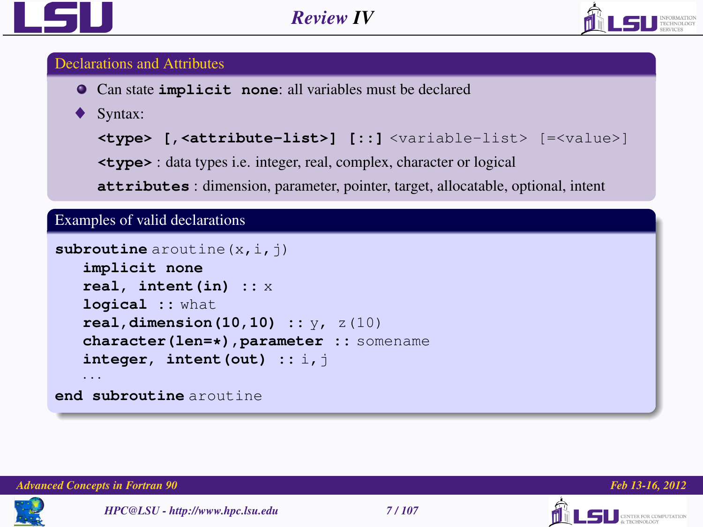



### Declarations and Attributes

- Can state **implicit none**: all variables must be declared
- Syntax:

```
<type> [,<attribute-list>] [::] <variable-list> [=<value>]
```
**<type>** : data types i.e. integer, real, complex, character or logical

**attributes** : dimension, parameter, pointer, target, allocatable, optional, intent

Examples of valid declarations

```
subroutine aroutine (x, i, j)
   implicit none
   real, intent(in) :: x
   logical :: what
   real,dimension(10,10) :: y, z(10)
   character(len=*),parameter :: somename
   integer, intent(out) :: i,j
   · · ·
end subroutine aroutine
```




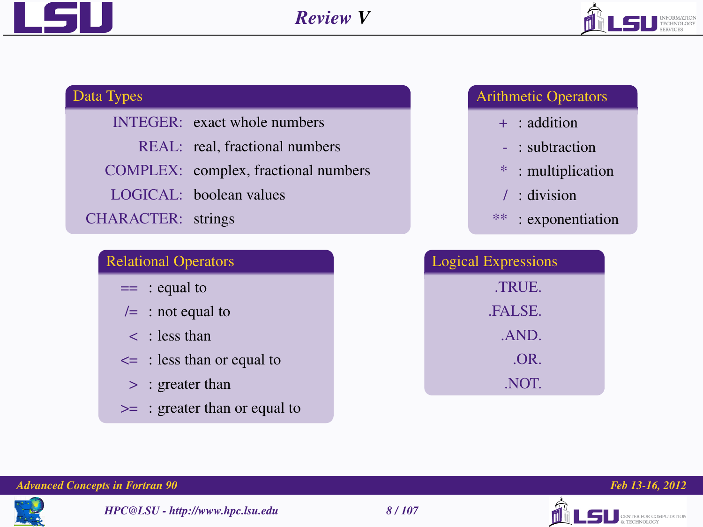



## Data Types

INTEGER: exact whole numbers REAL: real, fractional numbers COMPLEX: complex, fractional numbers LOGICAL: boolean values CHARACTER: strings

### Relational Operators

 $==$  : equal to

- $/=$  : not equal to
- < : less than
- $\leq$  : less than or equal to
	- > : greater than
- >= : greater than or equal to

## Arithmetic Operators

- + : addition
- : subtraction
- \* : multiplication
- / : division
- \*\* : exponentiation

| <b>Logical Expressions</b> |  |  |  |  |
|----------------------------|--|--|--|--|
| TRUE.                      |  |  |  |  |
| .FALSE.                    |  |  |  |  |
| .AND.                      |  |  |  |  |
| .OR.                       |  |  |  |  |
| NOT.                       |  |  |  |  |







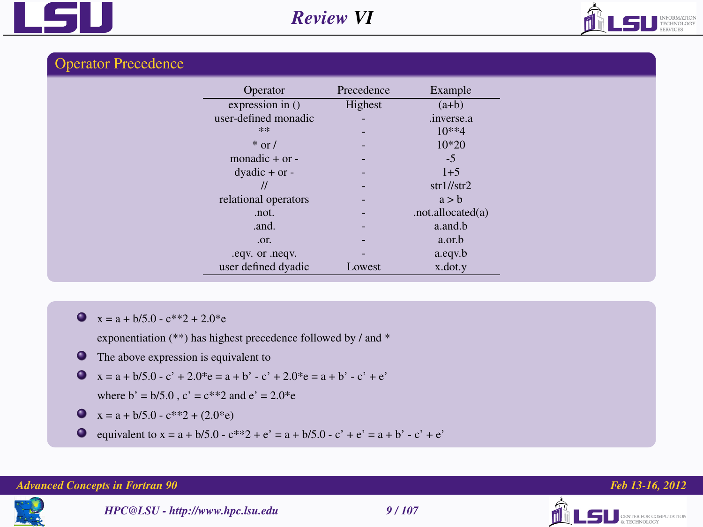



### Operator Precedence

| Operator             | Precedence               | Example              |
|----------------------|--------------------------|----------------------|
| expression in ()     | Highest                  | $(a+b)$              |
| user-defined monadic | $\overline{\phantom{a}}$ | .inverse.a           |
| **                   | ۰                        | $10**4$              |
| $*$ or /             |                          | $10*20$              |
| monadic $+$ or $-$   | ٠                        | $-5$                 |
| $dyadic + or -$      |                          | $1+5$                |
| $^{\prime\prime}$    |                          | $str1/$ str $2$      |
| relational operators |                          | a > b                |
| .not.                |                          | .not.allocated $(a)$ |
| .and.                |                          | a.and.b              |
| .or.                 |                          | a.or.b               |
| .eqv. or .neqv.      | ۰                        | a.eqv.b              |
| user defined dyadic  | Lowest                   | x.dot.y              |

 $x = a + b/5.0 - c^{**}2 + 2.0^*e$ 

exponentiation (\*\*) has highest precedence followed by / and \*

**O** The above expression is equivalent to

$$
x = a + b/5.0 - c' + 2.0^*e = a + b' - c' + 2.0^*e = a + b' - c' + e'
$$

where 
$$
b' = b/5.0
$$
,  $c' = c**2$  and  $e' = 2.0$ \*e

$$
x = a + b/5.0 - c^{**}2 + (2.0^*e)
$$

**e** equivalent to  $x = a + b/5.0 - c^{**}2 + e' = a + b/5.0 - c' + e' = a + b' - c' + e'$ 

#### *Advanced Concepts in Fortran 90 Feb 13-16, 2012*





**LSU** CENTER FOR COMPUTATION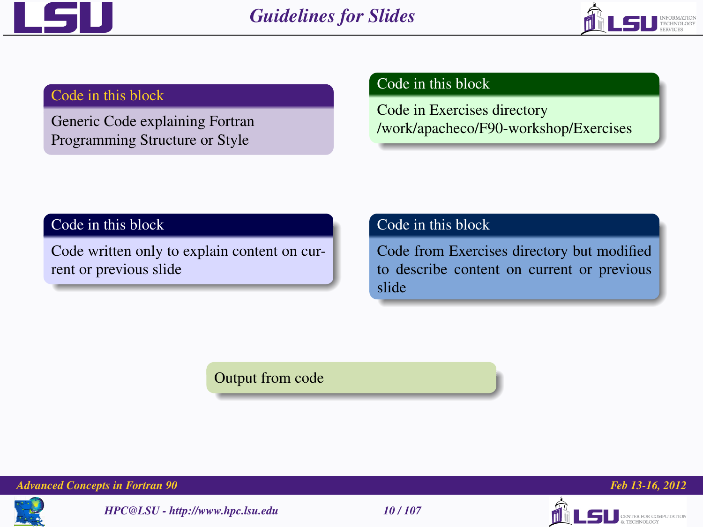



### Code in this block

Generic Code explaining Fortran Programming Structure or Style

## Code in this block

Code in Exercises directory /work/apacheco/F90-workshop/Exercises

### Code in this block

Code written only to explain content on current or previous slide

## Code in this block

Code from Exercises directory but modified to describe content on current or previous slide

Output from code



*Advanced Concepts in Fortran 90 Feb 13-16, 2012*

*HPC@LSU - http://www.hpc.lsu.edu 10 / 107*





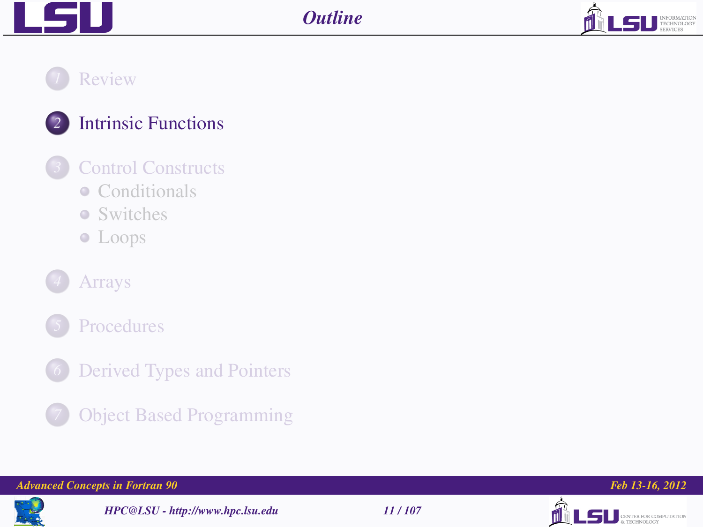

## *1* [Review](#page-2-0)



## *3* [Control Constructs](#page-14-0)

- [Conditionals](#page-16-0)
- [Switches](#page-22-0)
- [Loops](#page-25-0)





- *[Derived Types and Pointers](#page-86-0)*
- *7* [Object Based Programming](#page-97-0)

#### *Advanced Concepts in Fortran 90 Feb 13-16, 2012*



*HPC@LSU - http://www.hpc.lsu.edu 11 / 107*



<span id="page-10-0"></span>

LS DESPERTED ROBERT COMPUTATION

**SU TECHNOLOGY**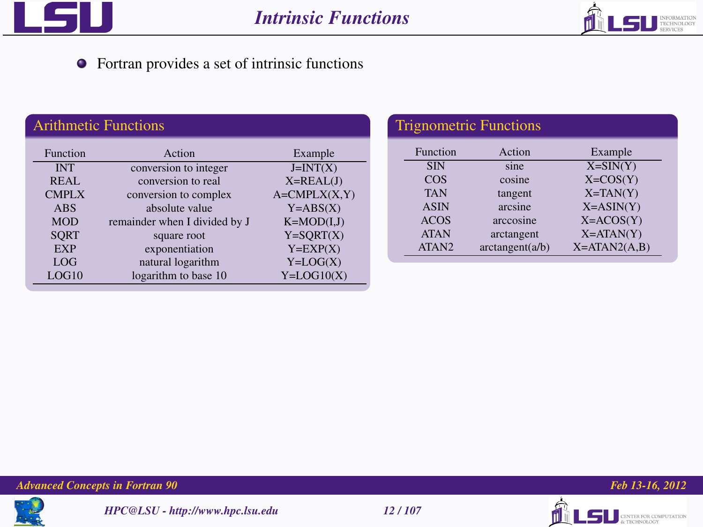



Fortran provides a set of intrinsic functions

| <b>Arithmetic Functions</b> |                               |                   |  |  |  |
|-----------------------------|-------------------------------|-------------------|--|--|--|
| <b>Function</b>             | Action                        | Example           |  |  |  |
| <b>INT</b>                  | conversion to integer         | $J=INT(X)$        |  |  |  |
| <b>REAL</b>                 | conversion to real            | $X = REAL(J)$     |  |  |  |
| <b>CMPLX</b>                | conversion to complex         | $A = CMPLX(X, Y)$ |  |  |  |
| <b>ABS</b>                  | absolute value                | $Y = ABS(X)$      |  |  |  |
| <b>MOD</b>                  | remainder when I divided by J | $K=MOD(I,J)$      |  |  |  |
| <b>SORT</b>                 | square root                   | $Y = SORT(X)$     |  |  |  |
| <b>EXP</b>                  | exponentiation                | $Y=EXP(X)$        |  |  |  |
| LOG                         | natural logarithm             | $Y = LOG(X)$      |  |  |  |
| LOG10                       | logarithm to base 10          | $Y = LOG10(X)$    |  |  |  |
|                             |                               |                   |  |  |  |

|             | <b>Trignometric Functions</b> |                  |  |
|-------------|-------------------------------|------------------|--|
| Function    | Action                        | Example          |  |
| <b>SIN</b>  | sine                          | $X = SIN(Y)$     |  |
| $\cos$      | cosine                        | $X=COS(Y)$       |  |
| <b>TAN</b>  | tangent                       | $X=TAN(Y)$       |  |
| <b>ASIN</b> | arcsine                       | $X = ASIN(Y)$    |  |
| <b>ACOS</b> | arccosine                     | $X = ACOS(Y)$    |  |
| <b>ATAN</b> | arctangent                    | $X = ATAN(Y)$    |  |
| ATAN2       | arctangent(a/b)               | $X = ATAN2(A,B)$ |  |

*Advanced Concepts in Fortran 90 Feb 13-16, 2012*







**LSU** SERIES COMPUTATION

ńl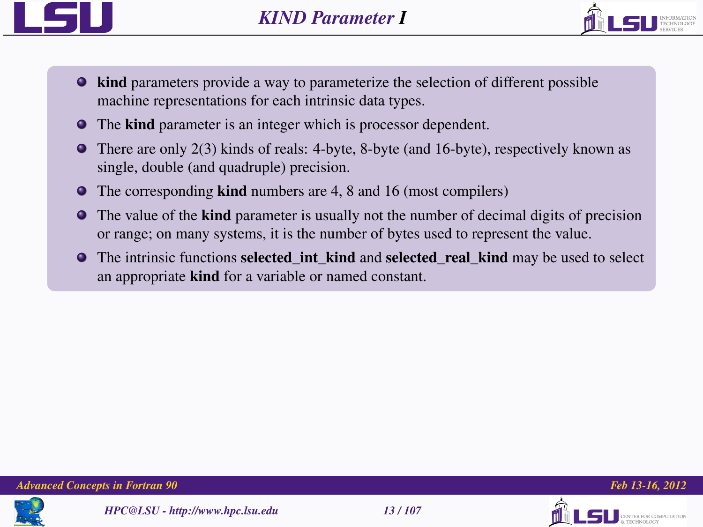



- $\bullet$  kind parameters provide a way to parameterize the selection of different possible machine representations for each intrinsic data types.
- The kind parameter is an integer which is processor dependent.
- There are only 2(3) kinds of reals: 4-byte, 8-byte (and 16-byte), respectively known as single, double (and quadruple) precision.
- The corresponding **kind** numbers are 4, 8 and 16 (most compilers)
- **•** The value of the **kind** parameter is usually not the number of decimal digits of precision or range; on many systems, it is the number of bytes used to represent the value.
- **The intrinsic functions selected int kind and selected real kind may be used to select** an appropriate kind for a variable or named constant.





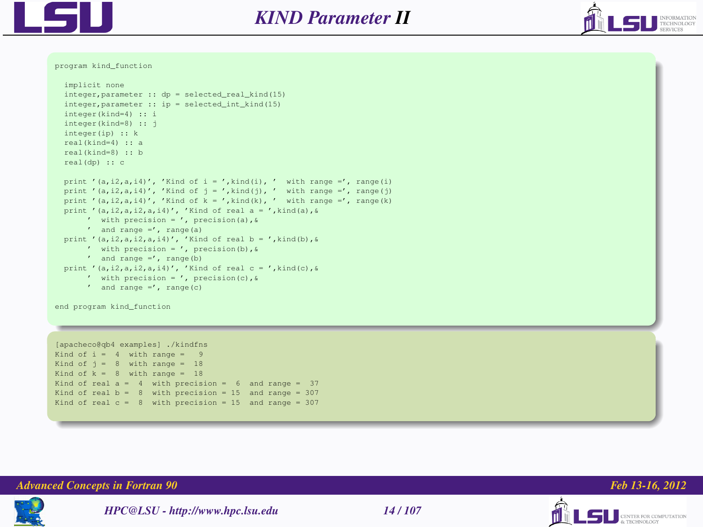



program kind\_function

```
implicit none
integer. parameter :: do = selected real kind(15)integer,parameter :: ip = selected_int_kind(15)
integer(kind=4) :: i
integer(kind=8) :: j
integer(ip) :: k
real(kind=4) :: a
real(kind=8) :: b
real(dp) :: c
print '(a,i2,a,i4)', 'Kind of i = ', kind(i), ' with range =', range(i)
print '(a,i2,a,i4)', 'Kind of j = ',kind(j), ' with range -', range(j)
print '(a,i2,a,i4)', 'Kind of k - ', kind(k), ' with range - ', range(k)
print '(a,i2,a,i2,a,i4)', 'Kind of real a = ',kind(a),&
     ' with precision = ', precision(a),&
     ' and range -', range(a)
print '(a,i2,a,i2,a,i4)', 'Kind of real b = ',kind(b).&
     ' with precision = ', precision(b),&
     ' and range =', range(b)
print '(a,i2,a,i2,a,i4)', 'Kind of real c = ', kind(c), &
     ' with precision = ', precision(c),&
     ' and range =', range(c)
```
end program kind\_function

```
[apacheco@qb4 examples] ./kindfns
Kind of i = 4 with range = 9
Kind of j = 8 with range = 18
Kind of k = 8 with range = 18
Kind of real a = 4 with precision = 6 and range = 37
Kind of real b - 8 with precision - 15 and range - 307Kind of real c - 8 with precision - 15 and range - 307
```


*Advanced Concepts in Fortran 90 Feb 13-16, 2012*



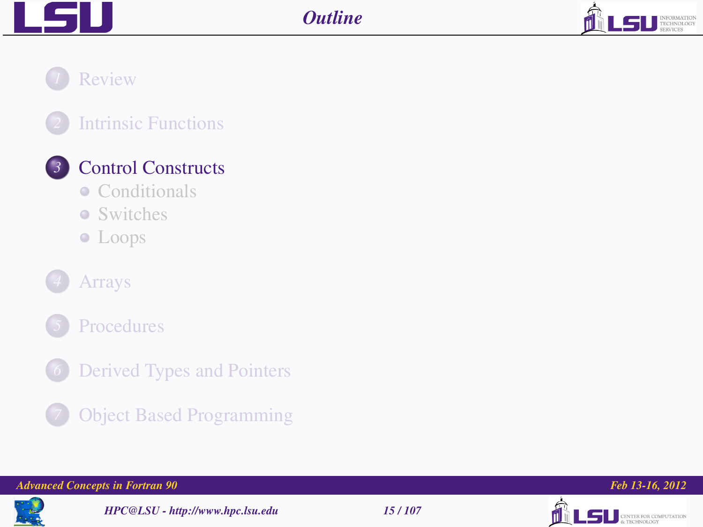



## *1* [Review](#page-2-0)





## *3* [Control Constructs](#page-14-0)

- [Conditionals](#page-16-0)
- **•** [Switches](#page-22-0)
- [Loops](#page-25-0)





- *[Derived Types and Pointers](#page-86-0)* 
	- *7* [Object Based Programming](#page-97-0)

#### *Advanced Concepts in Fortran 90 Feb 13-16, 2012*



*HPC@LSU - http://www.hpc.lsu.edu 15 / 107*



<span id="page-14-0"></span>

**LSU** CENTER FOR COMPUTATION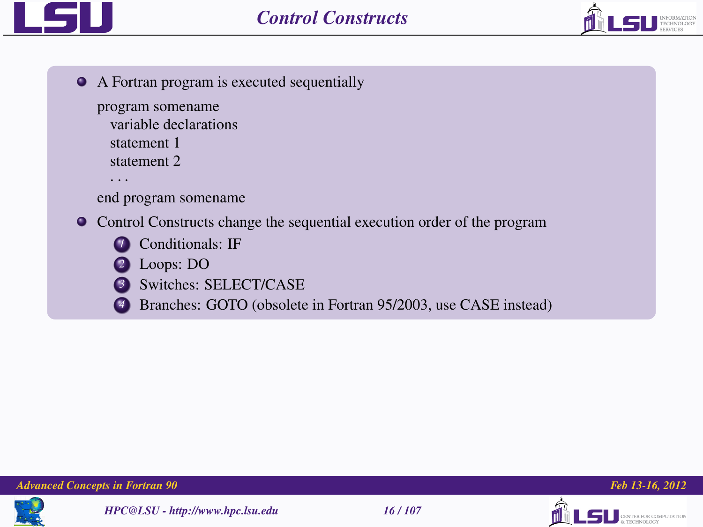



A Fortran program is executed sequentially

```
program somename
  variable declarations
  statement 1
  statement 2
  · · ·
```
end program somename

Control Constructs change the sequential execution order of the program



- *2* Loops: DO
- *3* Switches: SELECT/CASE
- Branches: GOTO (obsolete in Fortran 95/2003, use CASE instead)







 $\blacksquare$ S $\blacksquare$  CENTER FOR COMPUTATION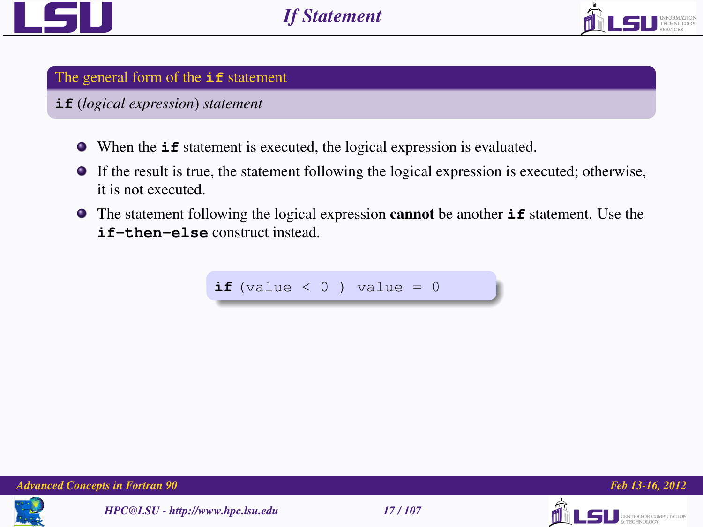



### The general form of the **if** statement

### **if** (*logical expression*) *statement*

- When the **if** statement is executed, the logical expression is evaluated.
- If the result is true, the statement following the logical expression is executed; otherwise, it is not executed.
- **•** The statement following the logical expression **cannot** be another **if** statement. Use the **if-then-else** construct instead.

**if** (value  $\leq 0$  ) value = 0







<span id="page-16-0"></span>LS II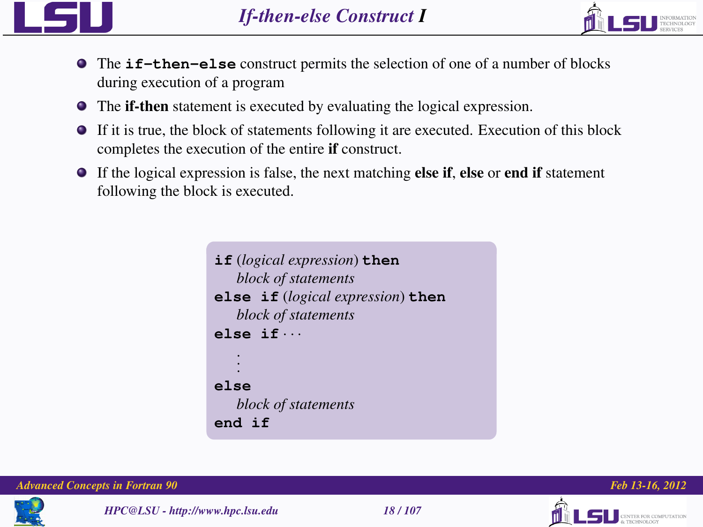



- The **if-then-else** construct permits the selection of one of a number of blocks during execution of a program
- The if-then statement is executed by evaluating the logical expression.
- If it is true, the block of statements following it are executed. Execution of this block completes the execution of the entire if construct.
- $\bullet$  If the logical expression is false, the next matching else if, else or end if statement following the block is executed.

```
if (logical expression) then
   block of statements
else if (logical expression) then
   block of statements
else if · · ·
    .
    .
    .
else
   block of statements
end if
```
*Advanced Concepts in Fortran 90 Feb 13-16, 2012*



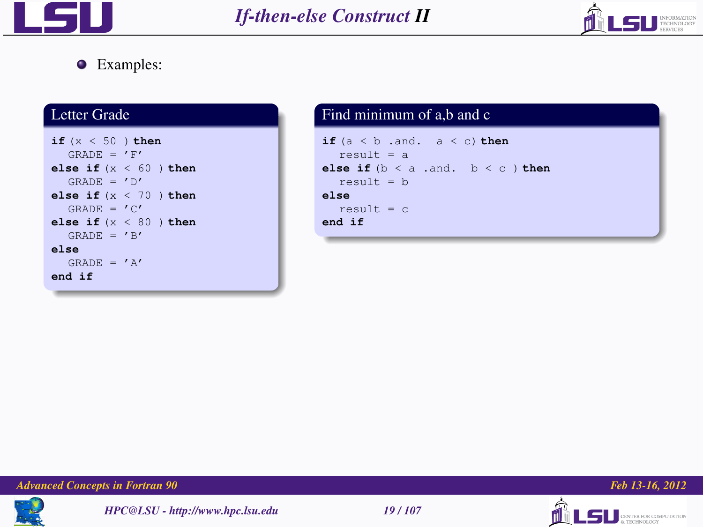



### Examples:

## Letter Grade

```
if (x < 50 ) then
  GRADE = 'F'else if (x < 60 ) then
  GRANE = 'D'else if (x < 70 ) then
  GRADE = 'C'else if (x < 80 ) then
  GRANE = 'B'else
  GRADE = 'A'end if
```
### Find minimum of a,b and c  $if (a < b$  .and.  $a < c) then$  $result = a$ **else if**  $(b < a$  .and.  $b < c$  ) **then**  $result = b$ **else**  $r$ esult =  $c$ **end if**

*Advanced Concepts in Fortran 90 Feb 13-16, 2012*







**LS** <u>CENTER FOR COMPUTATION</u>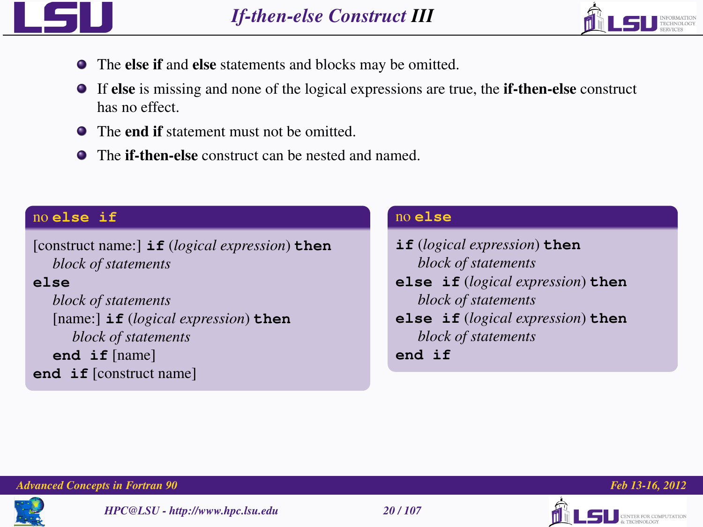



- The else if and else statements and blocks may be omitted.
- If else is missing and none of the logical expressions are true, the if-then-else construct has no effect.
- **•** The **end if** statement must not be omitted.
- The if-then-else construct can be nested and named.

## no **else if**

[construct name:] **if** (*logical expression*) **then** *block of statements*

### **else**

*block of statements* [name:] **if** (*logical expression*) **then** *block of statements* **end if** [name] **end if** [construct name]

### no **else**

| if (logical expression) then      |
|-----------------------------------|
| block of statements               |
| else if (logical expression) then |
| block of statements               |
| else if (logical expression) then |
| block of statements               |
| and if                            |





TER FOR COMPUTATION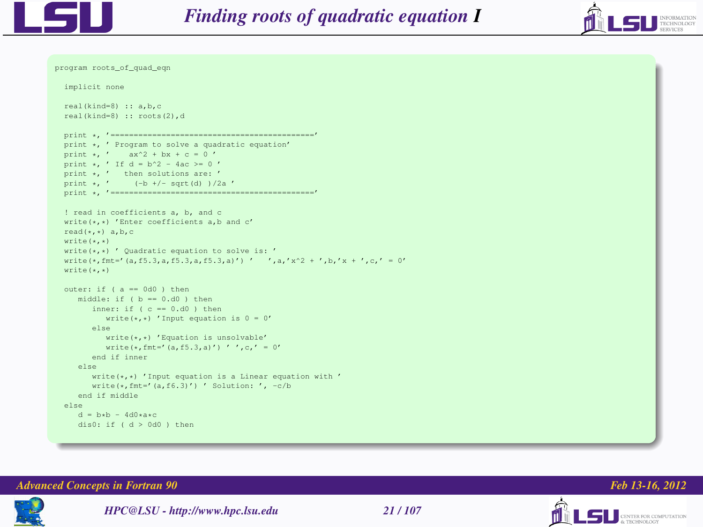

program roots\_of\_quad\_eqn



```
implicit none
real(kind=8) :: a,b,c
real(kind=8) :: roots(2),d
print *, '============================================'
print *, ' Program to solve a quadratic equation'
print \star, ' ax^2 + bx + c = 0'print \star, ' If d = b^2 - 4ac >= 0 '
print *, ' then solutions are: '
print \star, ' (-b +/- sqrt(d) )/2a '
print *, ' -----------------
! read in coefficients a, b, and c
write(*,*) 'Enter coefficients a,b and c'
read(*,*) a, b, c
write(*,*)
write(x,*)' Quadratic equation to solve is: '
write(*,fmt-'(a,f5.3,a,f5.3,a,f5.3,a)') ' ',a,'x^2 + ',b,'x + ',c,' = 0'
write(x, *)outer: if (a = -0d0) then
   middle: if (b = 0.d0) then
      inner: if (c = 0.001 then
         write (*,*) 'Input equation is 0 = 0'else
         write(*,*) 'Equation is unsolvable'
         write(*, fmt-'(a, f5.3,a)') ' ',c,' = 0'
      end if inner
   else
      write(\star, \star) 'Input equation is a Linear equation with '
      write(\star, fmt='(a,f6.3)') ' Solution: ', -c/b
   end if middle
else
   d = h * h = 4d0**cdis0: if (d > 0d0 ) then
```


*HPC@LSU - http://www.hpc.lsu.edu 21 / 107*

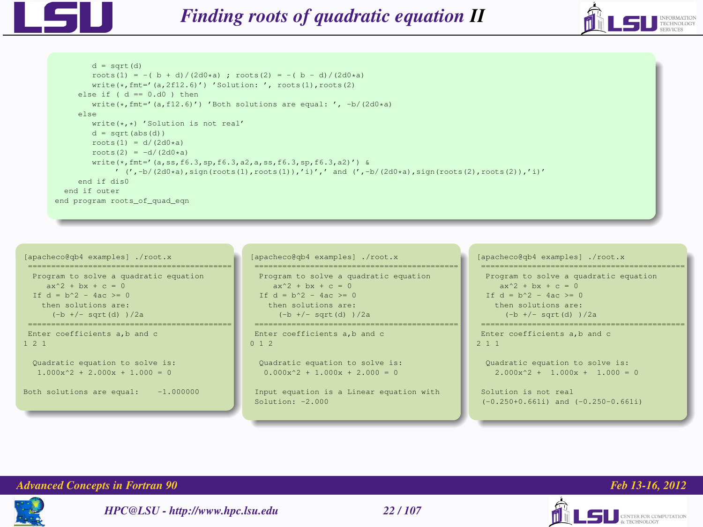



```
d = sqrt(d)roots(1) = -( b + d)/(2d0+a) ; roots(2) = -( b - d)/(2d0+a)
        write(*,fmt='(a,2f12.6)') 'Solution: ', roots(1),roots(2)
     else if (d - 0. d0) then
        \text{write}(+,\text{fmt-1},\text{f12},\text{f13}) 'Both solutions are equal: ', -\text{b}/(2\text{d0+a})else
        write(*,*) 'Solution is not real'
        d = sort(abs(d))roots(1) = d/(2d0*a)roots(2) = -d/(2d0*a)write(*,fmt='(a,ss,f6.3,sp,f6.3,a2,a,ss,f6.3,sp,f6.3,a2)') &
             ' (',-b/(2d0*a),sign(roots(1),roots(1)),'i)',' and (',-b/(2d0*a),sign(roots(2),roots(2)),'i)'
     end if dis0
  end if outer
end program roots of quad eqn
```

```
[apacheco@qb4 examples] ./root.x
 ============================================
 Program to solve a quadratic equation
     ax^2 + bx + c = 0If d - b^2 - 4ac > 0then solutions are:
     (-b +/- sart(d) )/2a=========================
Enter coefficients a,b and c
1 2 1
 Quadratic equation to solve is:
  1.000x^2 + 2.000x + 1.000 = 0Both solutions are equal: -1.000000
```

```
[apacheco@qb4 examples] ./root.x
============================================
 Program to solve a quadratic equation
    ax^2 + bx + c = 0If d - b^2 - 4ac > 0then solutions are:
     (-b +/- sart(d) )/2a
```
Enter coefficients a,b and c 0 1 2

```
Quadratic equation to solve is:
0.000x^2 + 1.000x + 2.000 = 0
```
Input equation is a Linear equation with Solution: -2.000

[apacheco@qb4 examples] ./root.x

```
============================================
Program to solve a quadratic equation
   ax^2 + bx + c = 0If d - b^2 - 4ac > 0then solutions are:
     (-b +/- sart(d) )/2a============================================
```
Enter coefficients a,b and c 2 1 1

```
Quadratic equation to solve is:
 2.000x^2 + 1.000x + 1.000 = 0
```

```
Solution is not real
(-0.250+0.661i) and (-0.250-0.661i)
```




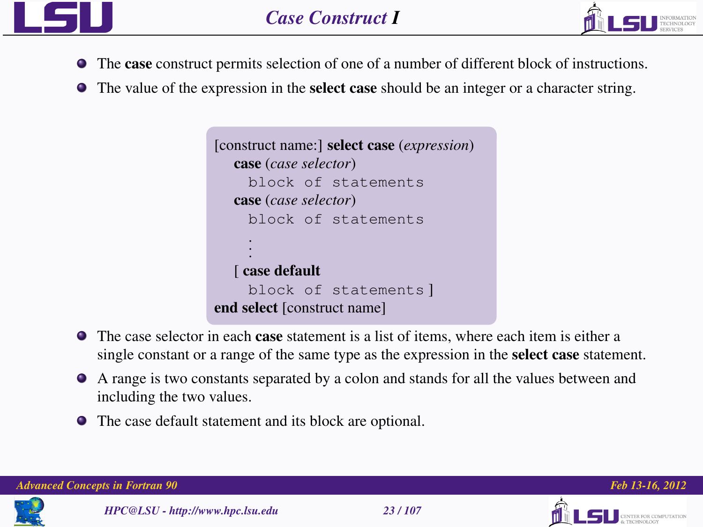

<span id="page-22-0"></span>

- The case construct permits selection of one of a number of different block of instructions.
- The value of the expression in the select case should be an integer or a character string.

```
[construct name:] select case (expression)
  case (case selector)
    block of statements
  case (case selector)
    block of statements
     .
     .
     .
  [ case default
    block of statements ]
end select [construct name]
```
- The case selector in each **case** statement is a list of items, where each item is either a single constant or a range of the same type as the expression in the select case statement.
- A range is two constants separated by a colon and stands for all the values between and including the two values.
- The case default statement and its block are optional.

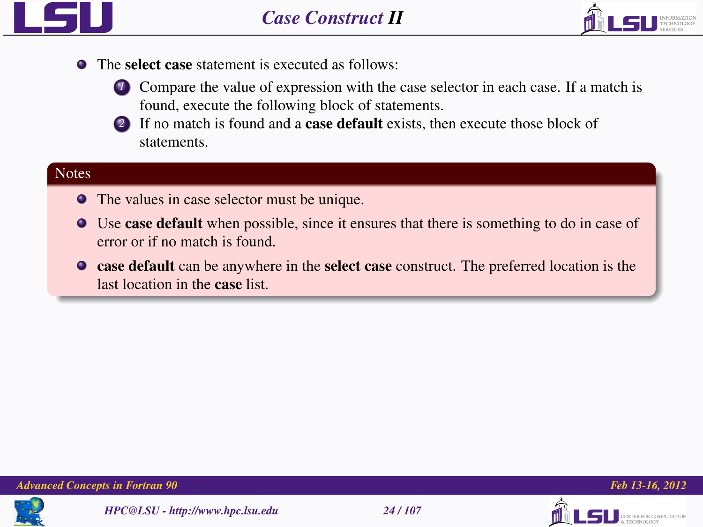



- The select case statement is executed as follows:
	- **1** Compare the value of expression with the case selector in each case. If a match is found, execute the following block of statements.
	- *2* If no match is found and a case default exists, then execute those block of statements.

### **Notes**

- The values in case selector must be unique.
- Use case default when possible, since it ensures that there is something to do in case of error or if no match is found.
- case default can be anywhere in the select case construct. The preferred location is the last location in the case list.









**TER FOR COMPUTATION**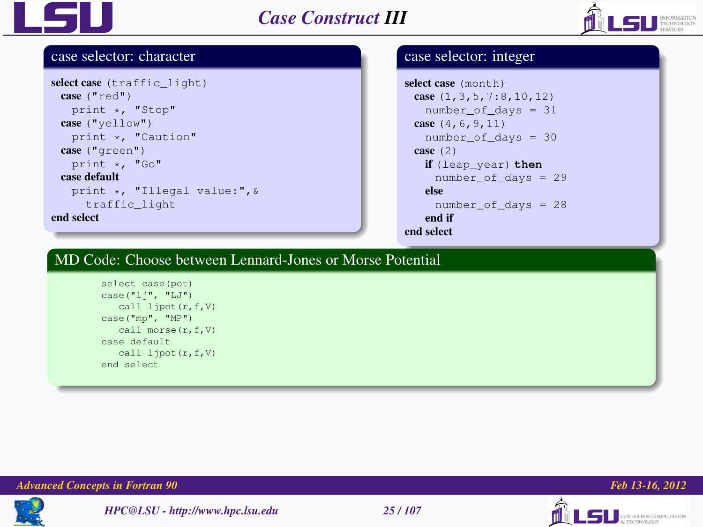



#### case selector: character

```
select case (traffic light)
 case ("red")
   print *, "Stop"
 case ("yellow")
   print *, "Caution"
 case ("green")
   print *, "Go"
 case default
   print *, "Illegal value:",&
     traffic_light
end select
```
### case selector: integer

```
select case (month)
 case (1,3,5,7:8,10,12)
   number of days = 31case (4,6,9,11)
   number_of_days = 30
 case (2)
   if (leap_year) then
     number_of_days = 29
   else
    number of days = 28end if
end select
```
### MD Code: Choose between Lennard-Jones or Morse Potential

```
select case(pot)
case("lj", "LJ")
  call ljpot(r,f,V)
case("mp", "MP")
  call morse(r,f,V)
case default
   call ljpot(r,f,V)
end select
```




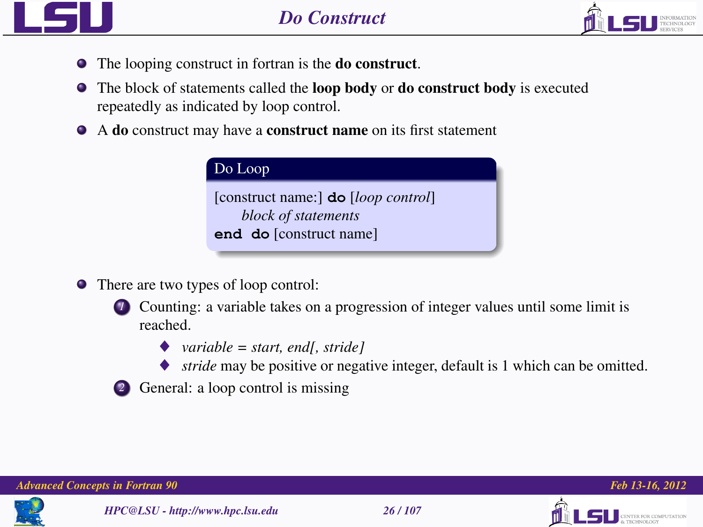



- The looping construct in fortran is the do construct.
- The block of statements called the **loop body** or **do construct body** is executed repeatedly as indicated by loop control.
- A do construct may have a construct name on its first statement

| Do Loop                             |  |
|-------------------------------------|--|
| [construct name:] do [loop control] |  |
| block of statements                 |  |
| end do [construct name]             |  |

There are two types of loop control:



- ♦ *variable = start, end[, stride]*
- *stride* may be positive or negative integer, default is 1 which can be omitted.
- *2* General: a loop control is missing





<span id="page-25-0"></span>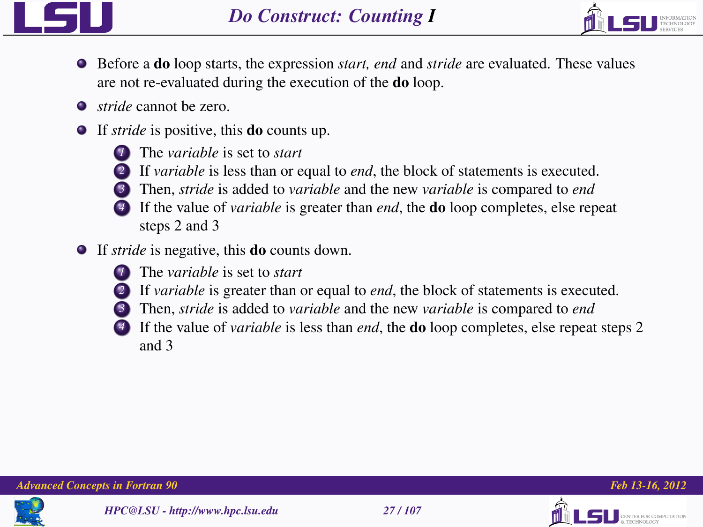



- Before a do loop starts, the expression *start, end* and *stride* are evaluated. These values are not re-evaluated during the execution of the do loop.
- *stride* cannot be zero.
- If *stride* is positive, this do counts up.



*1* The *variable* is set to *start*



- *2* If *variable* is less than or equal to *end*, the block of statements is executed.
- *3* Then, *stride* is added to *variable* and the new *variable* is compared to *end*
	- *4* If the value of *variable* is greater than *end*, the do loop completes, else repeat steps 2 and 3
- If *stride* is negative, this do counts down.



- *1* The *variable* is set to *start*
- *2* If *variable* is greater than or equal to *end*, the block of statements is executed.
- *3* Then, *stride* is added to *variable* and the new *variable* is compared to *end*
- *4* If the value of *variable* is less than *end*, the do loop completes, else repeat steps 2 and 3





TO 500 COMPUTATION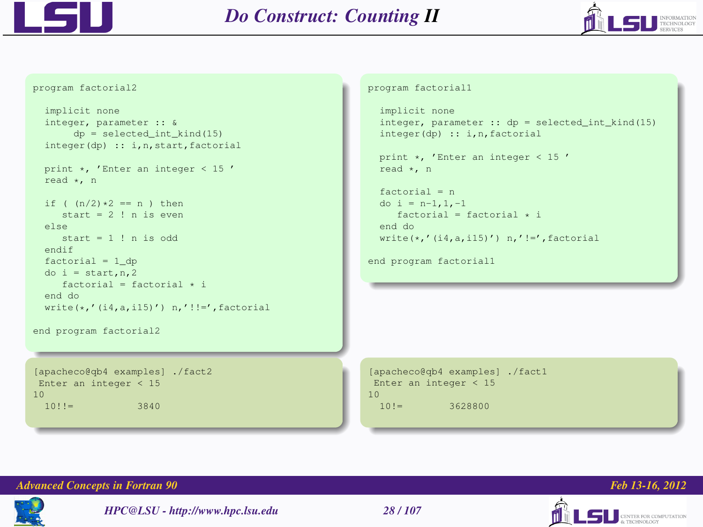



```
program factorial2
```

```
implicit none
integer, parameter :: &
    dp = selected int kind(15)
integer(dp) :: i,n,start,factorial
print *, 'Enter an integer < 15 '
read *, n
if ( (n/2)*2 == n ) then
   start = 2 ! n is even
else
  start = 1 ! n is odd
endif
factorial = 1_ddo i = start,n,2
   factorial = factorial * i
```

```
end do
write(*,'(i4,a,i15)') n,'!!=',factorial
```

```
end program factorial2
```

```
[apacheco@qb4 examples] ./fact2
Enter an integer < 15
10
 10!!= 3840
```
#### program factorial1

```
implicit none
integer, parameter :: dp = selected_int_kind(15)
integer(dp) :: i,n,factorial
```

```
print *, 'Enter an integer < 15 '
read *, n
```

```
factorial = n
do i = n-1, 1, -1factorial = factorial * iend do
write(*,'(i4,a,i15)') n,'!=',factorial
```

```
end program factorial1
```

```
[apacheco@qb4 examples] ./fact1
Enter an integer < 15
10
 10!= 3628800
```


*HPC@LSU - http://www.hpc.lsu.edu 28 / 107*





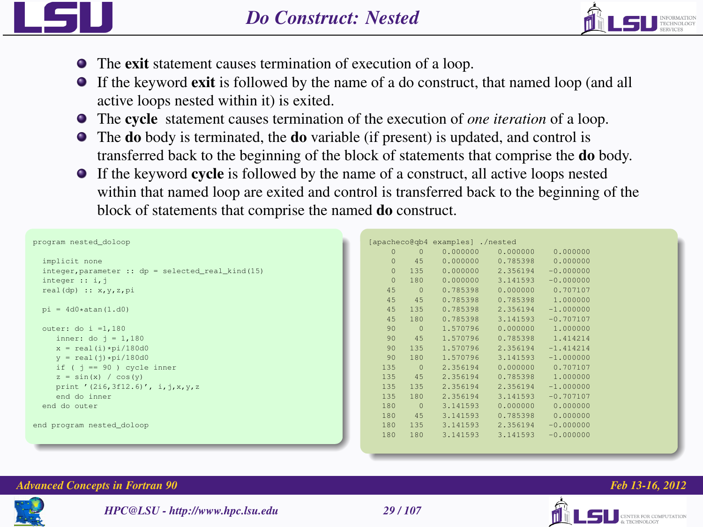



- The exit statement causes termination of execution of a loop.
- If the keyword exit is followed by the name of a do construct, that named loop (and all active loops nested within it) is exited.
- The cycle statement causes termination of the execution of *one iteration* of a loop.
- The **do** body is terminated, the **do** variable (if present) is updated, and control is transferred back to the beginning of the block of statements that comprise the do body.
- If the keyword cycle is followed by the name of a construct, all active loops nested within that named loop are exited and control is transferred back to the beginning of the block of statements that comprise the named do construct.

```
program nested_doloop
  implicit none
  integer,parameter :: dp = selected real kind(15)
  integer :: i,j
  real(dp) :: x,y,z,pi
  pi = 4d0*atan(1, d0)outer: do i =1,180
     inner: do j = 1,180
     x = real(i) * pi / 180d0v = \text{real}(1) * \text{pi}/180d0if ( j = -90 ) cycle inner
     z = \sin(x) / \cos(y)print '(216,3f12.6)', i, j, x, v, z
     end do inner
  end do outer
end program nested_doloop
```

| [apacheco@qb4 |              | examples] ./nested |          |             |
|---------------|--------------|--------------------|----------|-------------|
| $\circ$       | $\mathbf 0$  | 0.000000           | 0.000000 | 0.000000    |
| $\Omega$      | 45           | 0.000000           | 0.785398 | 0.000000    |
| $\circ$       | 135          | 0.000000           | 2.356194 | $-0.000000$ |
| $\circ$       | 180          | 0.000000           | 3.141593 | $-0.000000$ |
|               |              |                    |          |             |
| 45            | $\Omega$     | 0.785398           | 0.000000 | 0.707107    |
| 45            | 45           | 0.785398           | 0.785398 | 1,000000    |
| 45            | 135          | 0.785398           | 2.356194 | $-1.000000$ |
| 45            | 180          | 0.785398           | 3.141593 | $-0.707107$ |
| 90            | $\mathbf{0}$ | 1.570796           | 0.000000 | 1,000000    |
| 90            | 45           | 1.570796           | 0.785398 | 1.414214    |
| 90            | 135          | 1.570796           | 2.356194 | $-1.414214$ |
| 90            | 180          | 1.570796           | 3.141593 | $-1.000000$ |
| 135           | $\Omega$     | 2.356194           | 0.000000 | 0.707107    |
| 135           | 45           | 2.356194           | 0.785398 | 1,000000    |
| 135           | 135          | 2.356194           | 2.356194 | $-1.000000$ |
| 135           | 180          | 2.356194           | 3.141593 | $-0.707107$ |
| 180           | $\Omega$     | 3.141593           | 0.000000 | 0.000000    |
| 180           | 45           | 3.141593           | 0.785398 | 0.000000    |
| 180           | 135          | 3.141593           | 2.356194 | $-0.000000$ |
| 180           | 180          | 3.141593           | 3.141593 | $-0.000000$ |
|               |              |                    |          |             |



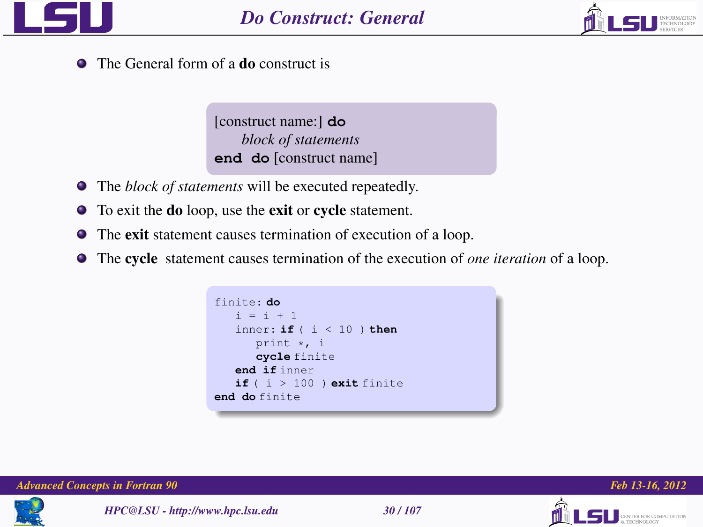



ER FOR COMPUTATION

• The General form of a **do** construct is

[construct name:] **do** *block of statements* **end do** [construct name]

- The *block of statements* will be executed repeatedly.
- To exit the do loop, use the exit or cycle statement.
- The exit statement causes termination of execution of a loop.
- The cycle statement causes termination of the execution of *one iteration* of a loop.

finite: **do**  $i = i + 1$ inner: **if** ( i < 10 ) **then** print \*, i **cycle** finite **end if** inner  $if ( i > 100 ) exist finite$ **end do** finite

*Advanced Concepts in Fortran 90 Feb 13-16, 2012*

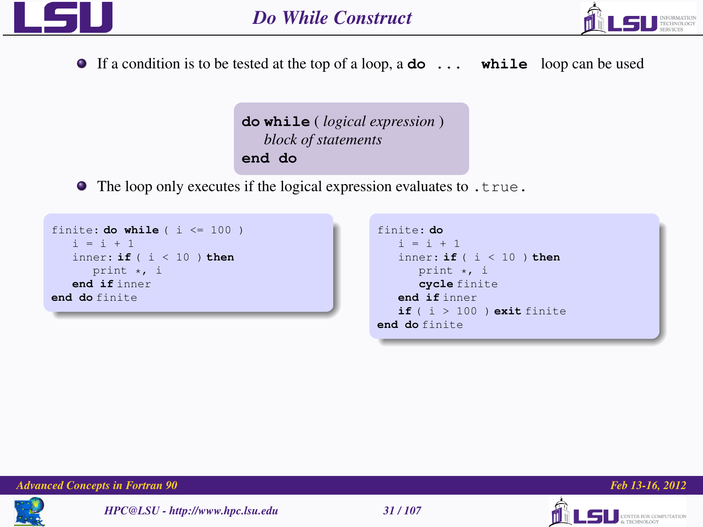



If a condition is to be tested at the top of a loop, a **do ... while** loop can be used

```
do while ( logical expression )
   block of statements
end do
```
• The loop only executes if the logical expression evaluates to .true.

```
finite: do while (i \le 100)i = i + 1inner: if ( i < 10 ) then
     print *, i
  end if inner
end do finite
```

```
finite: do
   i = i + 1inner: if ( i < 10 ) then
     print *, i
     cycle finite
  end if inner
  if ( i > 100 ) exit finite
end do finite
```


*HPC@LSU - http://www.hpc.lsu.edu 31 / 107*





**SU** CENTER FOR COMPUTATION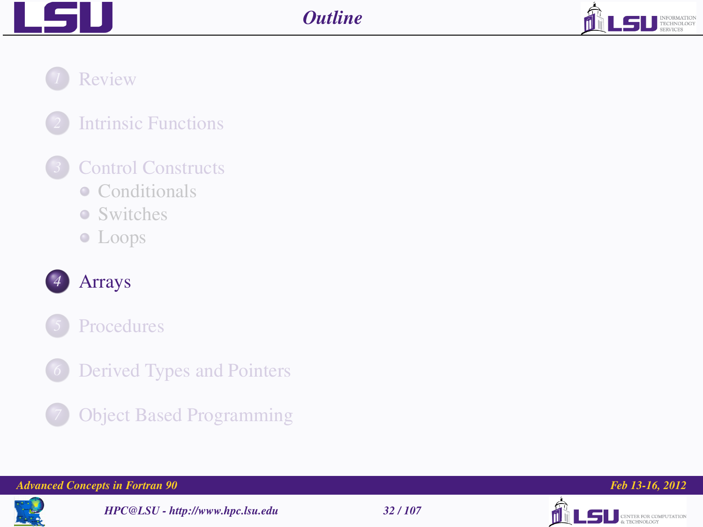



*1* [Review](#page-2-0)

## *2* [Intrinsic Functions](#page-10-0)

## *3* [Control Constructs](#page-14-0)

- [Conditionals](#page-16-0)
- [Switches](#page-22-0)
- [Loops](#page-25-0)



## *4* [Arrays](#page-31-0)



- *[Derived Types and Pointers](#page-86-0)*
- 
- *7* [Object Based Programming](#page-97-0)

#### *Advanced Concepts in Fortran 90 Feb 13-16, 2012*



*HPC@LSU - http://www.hpc.lsu.edu 32 / 107*



<span id="page-31-0"></span>

LS DESPERTED ROBERT COMPUTATION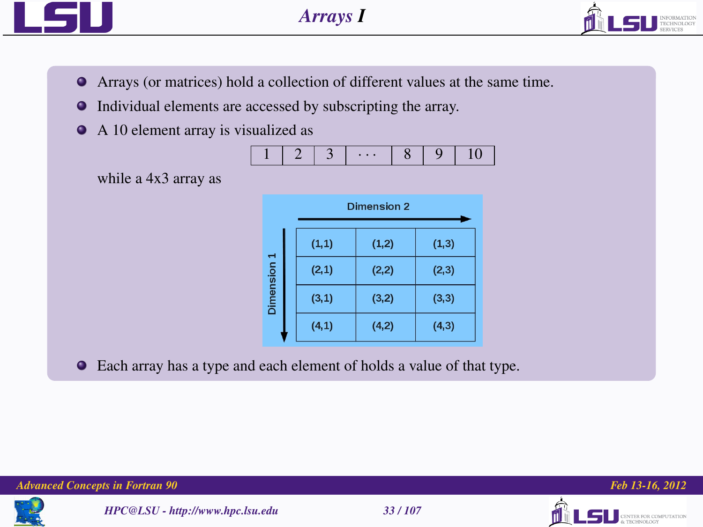



- Arrays (or matrices) hold a collection of different values at the same time.
- Individual elements are accessed by subscripting the array.  $\bullet$
- $\bullet$ A 10 element array is visualized as

|  |  |  | ٠ |  |  |  |
|--|--|--|---|--|--|--|
|--|--|--|---|--|--|--|

while a 4x3 array as

| Dimension 2 |        |        |  |  |  |
|-------------|--------|--------|--|--|--|
| (1, 1)      | (1, 2) | (1, 3) |  |  |  |
| (2, 1)      | (2, 2) | (2,3)  |  |  |  |
| (3, 1)      | (3,2)  | (3, 3) |  |  |  |
| (4,1)       | (4,2)  | (4,3)  |  |  |  |
|             |        |        |  |  |  |

Each array has a type and each element of holds a value of that type.

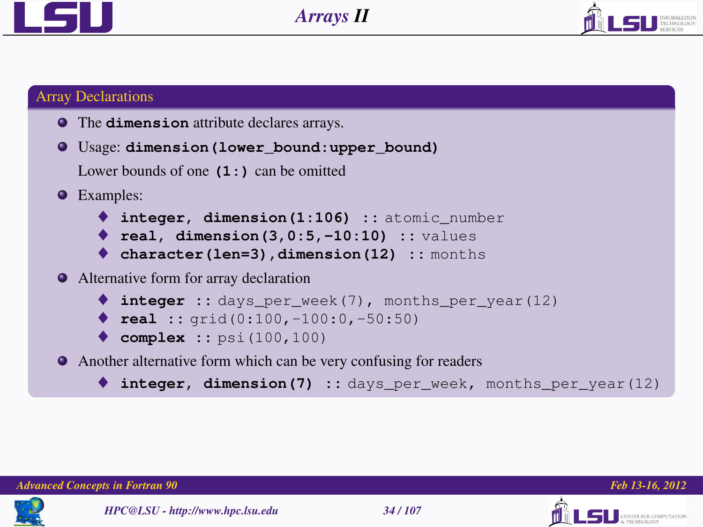



### Array Declarations

The **dimension** attribute declares arrays.

```
Usage: dimension(lower_bound:upper_bound)
```
Lower bounds of one **(1:)** can be omitted

- **•** Examples:
	- ♦ **integer, dimension(1:106) ::** atomic\_number
	- ♦ **real, dimension(3,0:5,-10:10) ::** values
	- ♦ **character(len=3),dimension(12) ::** months

Alternative form for array declaration

```
♦ integer :: days_per_week(7), months_per_year(12)
```
- ♦ **real ::** grid(0:100,-100:0,-50:50)
- ♦ **complex ::** psi(100,100)
- Another alternative form which can be very confusing for readers
	- integer, dimension(7) :: days per week, months per year(12)





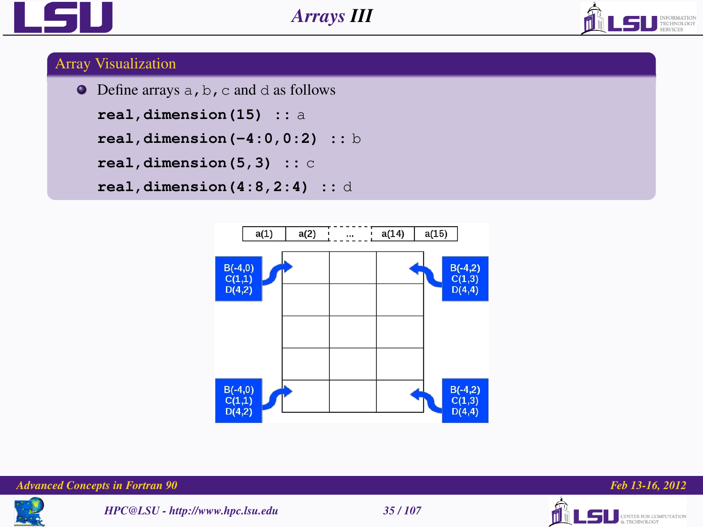



### Array Visualization

```
\bullet Define arrays a, b, c and d as follows
  real,dimension(15) :: a
  real,dimension(-4:0,0:2) :: b
  real,dimension(5,3) :: c
  real,dimension(4:8,2:4) :: d
```








LSU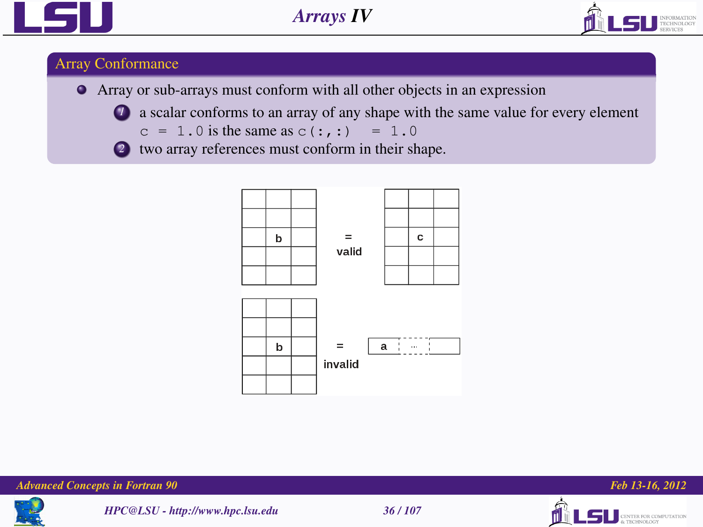



### Array Conformance

- Array or sub-arrays must conform with all other objects in an expression
	-
- *1* a scalar conforms to an array of any shape with the same value for every element
	- $c = 1.0$  is the same as  $c(:,:) = 1.0$









**SERIES FOR COMPUTATION**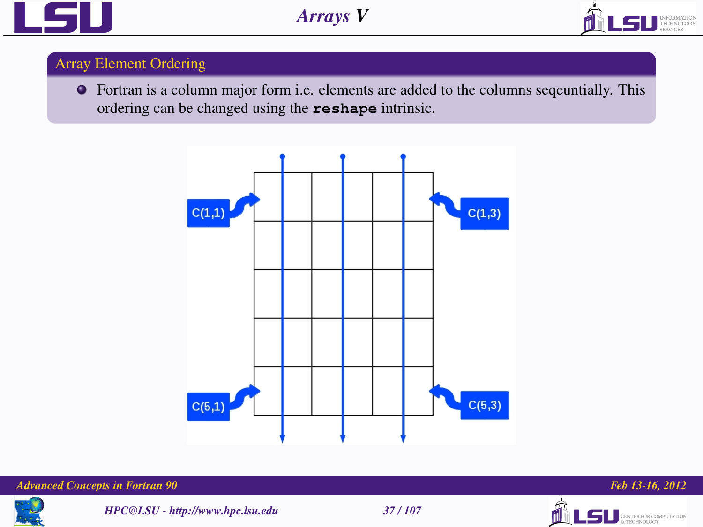



## Array Element Ordering

Fortran is a column major form i.e. elements are added to the columns seqeuntially. This ordering can be changed using the **reshape** intrinsic.



#### *Advanced Concepts in Fortran 90 Feb 13-16, 2012*



*HPC@LSU - http://www.hpc.lsu.edu 37 / 107*





LSU **GENTER FOR COMPUTATION**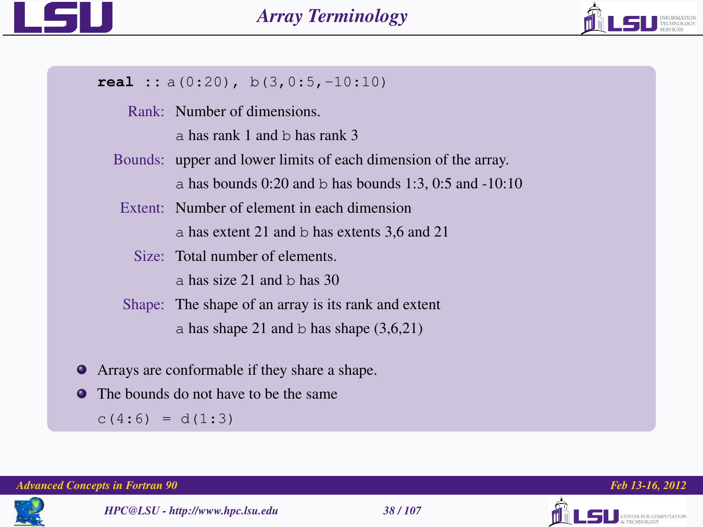



#### **real ::** a(0:20), b(3,0:5,-10:10)

- Rank: Number of dimensions.
	- a has rank 1 and b has rank 3
- Bounds: upper and lower limits of each dimension of the array.

a has bounds  $0:20$  and b has bounds  $1:3$ ,  $0:5$  and  $-10:10$ 

- Extent: Number of element in each dimension a has extent 21 and b has extents 3,6 and 21
	- Size: Total number of elements.

 $\overline{a}$  has size 21 and b has 30

- Shape: The shape of an array is its rank and extent a has shape 21 and b has shape  $(3,6,21)$
- Arrays are conformable if they share a shape.
- The bounds do not have to be the same

 $c(4:6) = d(1:3)$ 





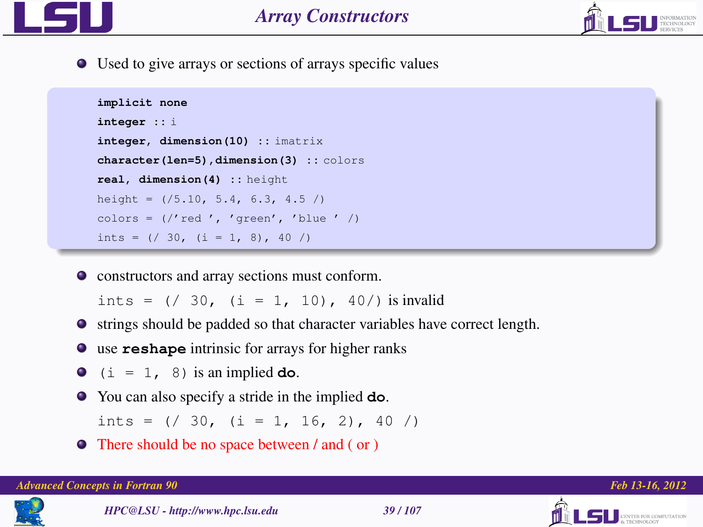



Used to give arrays or sections of arrays specific values

```
implicit none
integer :: i
integer, dimension(10) :: imatrix
character(len=5),dimension(3) :: colors
real, dimension(4) :: height
height = ( / 5.10, 5.4, 6.3, 4.5)colors = \frac{1}{2} (/'red', 'green', 'blue' /)
ints = ( / 30, (i = 1, 8), 40 / )
```
constructors and array sections must conform.

ints =  $( / 30, (i = 1, 10), 40/ )$  is invalid

- strings should be padded so that character variables have correct length.
- use **reshape** intrinsic for arrays for higher ranks
- $\bullet$  (i = 1, 8) is an implied **do**.
- You can also specify a stride in the implied **do**.

ints =  $( / 30, (i = 1, 16, 2), 40 / )$ 

There should be no space between / and ( or )



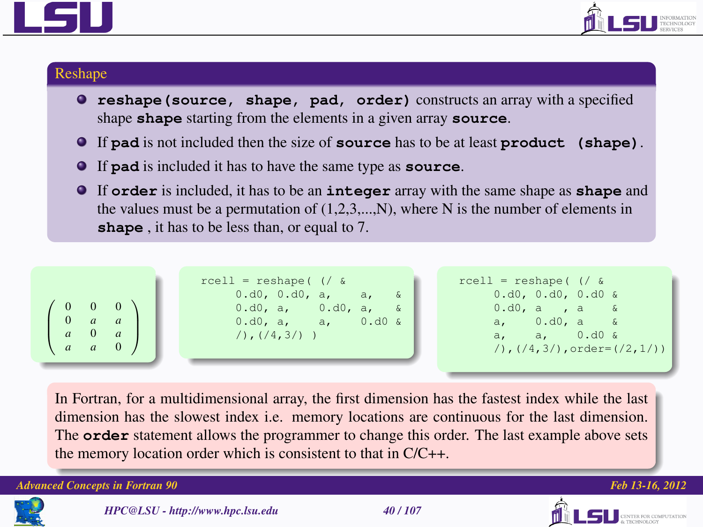



#### Reshape

- **reshape(source, shape, pad, order)** constructs an array with a specified shape **shape** starting from the elements in a given array **source**.
- If **pad** is not included then the size of **source** has to be at least **product (shape)**.
- If **pad** is included it has to have the same type as **source**.
- If **order** is included, it has to be an **integer** array with the same shape as **shape** and the values must be a permutation of  $(1,2,3,...,N)$ , where N is the number of elements in **shape** , it has to be less than, or equal to 7.



In Fortran, for a multidimensional array, the first dimension has the fastest index while the last dimension has the slowest index i.e. memory locations are continuous for the last dimension. The **order** statement allows the programmer to change this order. The last example above sets the memory location order which is consistent to that in C/C++.







**CENTER FOR COMPUTATION**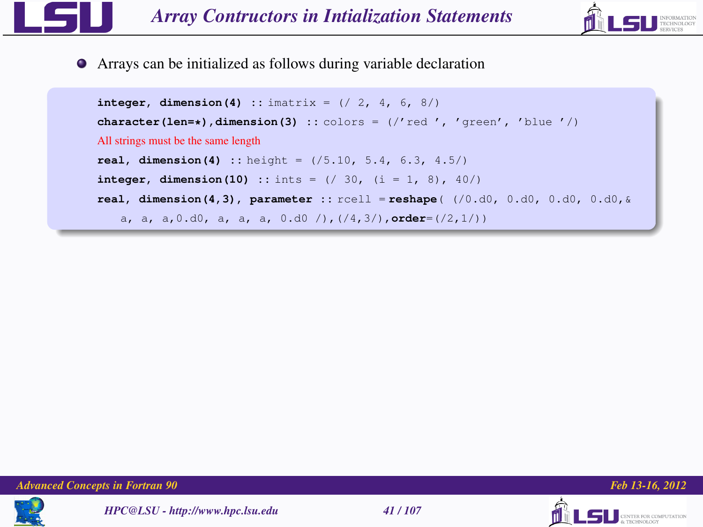

Arrays can be initialized as follows during variable declaration

```
integer, dimension(4) :: imatrix = (7, 2, 4, 6, 8)character(len=*), dimension(3) :: colors = \frac{1}{2} (\frac{1}{2} (\frac{1}{2} (\frac{1}{2} (\frac{1}{2})) (\frac{1}{2})
All strings must be the same length
real, dimension(4) :: height = (/5.10, 5.4, 6.3, 4.5/)
integer, dimension(10) :: ints = (/ 30, (i = 1, 8), 40/)
real, dimension(4,3), parameter :: rcell = reshape( (/0.d0, 0.d0, 0.d0, 0.d0,&
   a, a, a,0.d0, a, a, a, 0.d0 /),(/4,3/),order=(/2,1/))
```
*Advanced Concepts in Fortran 90 Feb 13-16, 2012*







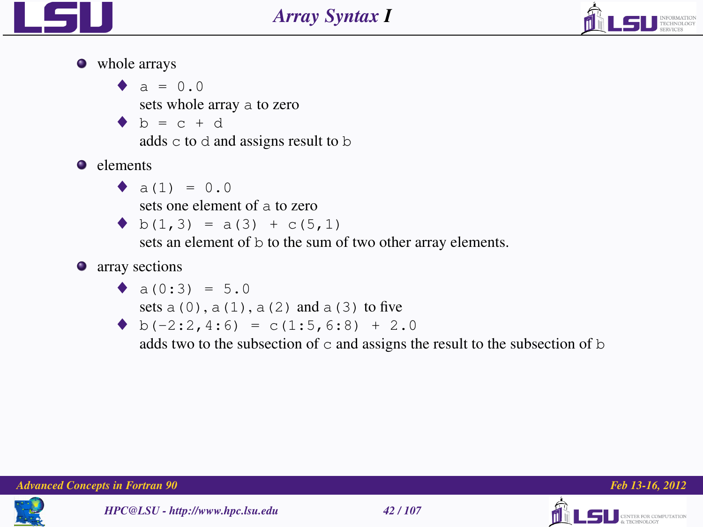



• whole arrays

 $\bullet$  a = 0.0 sets whole array a to zero  $\bullet$  b = c + d adds c to d and assigns result to b **e** elements

 $\bullet$  a(1) = 0.0

sets one element of a to zero

 $\blacklozenge$  b(1,3) = a(3) + c(5,1)

sets an element of b to the sum of two other array elements.

**•** array sections

$$
\bullet \quad a(0:3) = 5.0
$$

- sets  $a(0)$ ,  $a(1)$ ,  $a(2)$  and  $a(3)$  to five
- $\bullet$  b(-2:2, 4:6) = c(1:5, 6:8) + 2.0

adds two to the subsection of  $\circ$  and assigns the result to the subsection of  $\circ$ 





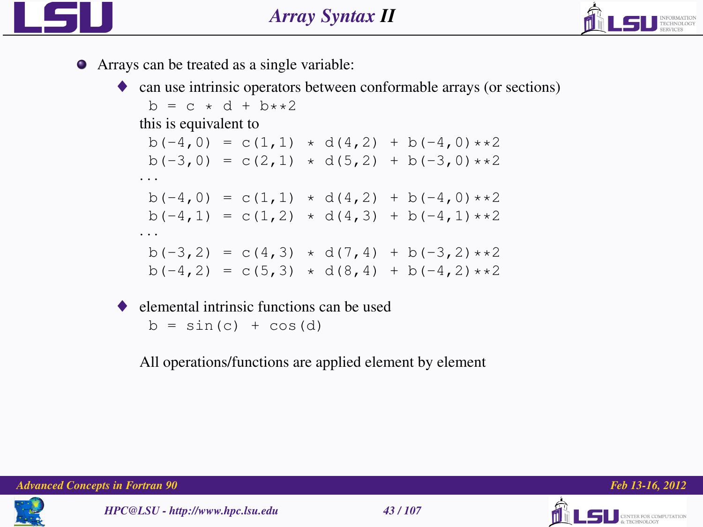



- Arrays can be treated as a single variable:
	- ♦ can use intrinsic operators between conformable arrays (or sections)

```
b = c * d + b * *2this is equivalent to
 b(-4,0) = c(1,1) + d(4,2) + b(-4,0) *2b(-3,0) = c(2,1) + d(5,2) + b(-3,0) *2· · ·
 b(-4,0) = c(1,1) + d(4,2) + b(-4,0) *2b(-4,1) = c(1,2) \cdot d(4,3) + b(-4,1) \cdot d(2)· · ·
 b(-3,2) = c(4,3) + d(7,4) + b(-3,2) * db(-4,2) = c(5,3) + d(8,4) + b(-4,2) *2
```
 $\bullet$  elemental intrinsic functions can be used  $b = sin(c) + cos(d)$ 

All operations/functions are applied element by element



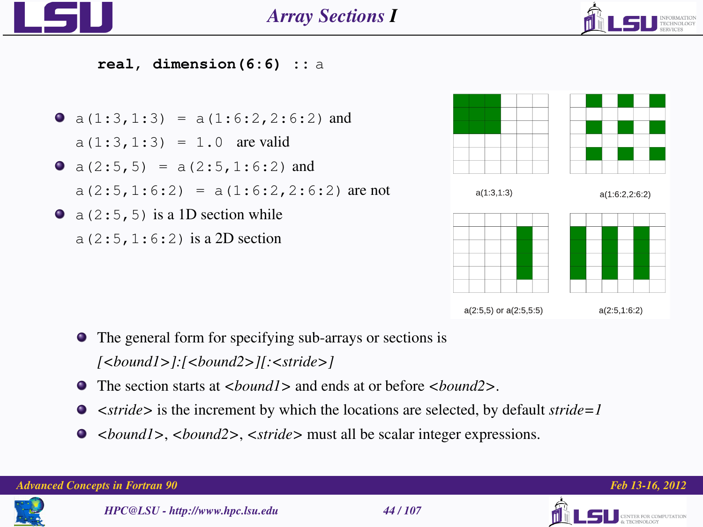



**real, dimension(6:6) ::** a

•  $a(1:3,1:3) = a(1:6:2,2:6:2)$  and  $a(1:3,1:3) = 1.0$  are valid •  $a(2:5,5) = a(2:5,1:6:2)$  and  $a(2:5, 1:6:2) = a(1:6:2, 2:6:2)$  are not  $\bullet$  a (2:5,5) is a 1D section while a(2:5,1:6:2) is a 2D section



- The general form for specifying sub-arrays or sections is *[<bound1>]:[<bound2>][:<stride>]*
- The section starts at *<bound1>* and ends at or before *<bound2>*.
- *<stride>* is the increment by which the locations are selected, by default *stride=1*
- *<bound1>*, *<bound2>*, *<stride>* must all be scalar integer expressions.

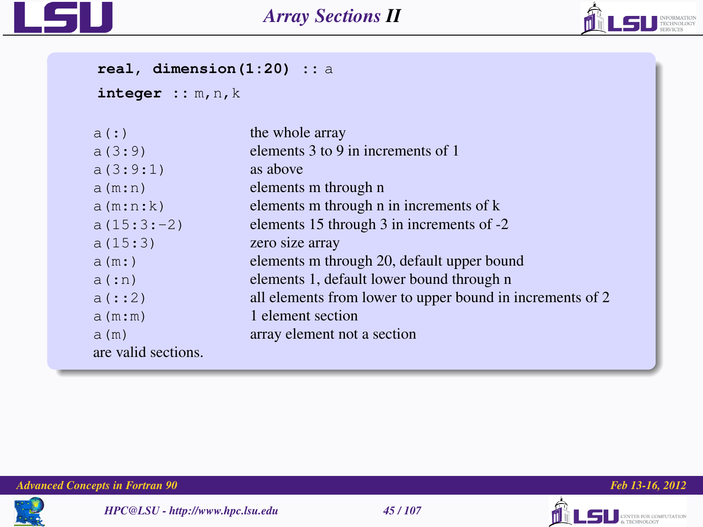



**real, dimension(1:20) ::** a

```
integer :: m,n,k
```

| a(:)                | the whole array                                           |
|---------------------|-----------------------------------------------------------|
| a(3:9)              | elements 3 to 9 in increments of 1                        |
| a(3:9:1)            | as above                                                  |
| a(m:n)              | elements m through n                                      |
| a(m:n:k)            | elements m through n in increments of k                   |
| $a(15:3:-2)$        | elements 15 through 3 in increments of -2                 |
| a(15:3)             | zero size array                                           |
| a(m: )              | elements m through 20, default upper bound                |
| a(in)               | elements 1, default lower bound through n                 |
| a(::2)              | all elements from lower to upper bound in increments of 2 |
| a(m:m)              | 1 element section                                         |
| a (m)               | array element not a section                               |
| are valid sections. |                                                           |
|                     |                                                           |







**LSU** SERVICE COMPUTATION

ńl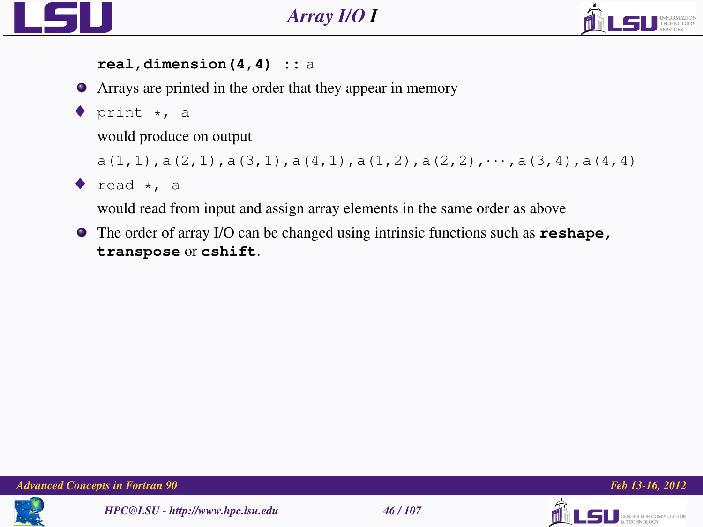



#### **real,dimension(4,4) ::** a

- Arrays are printed in the order that they appear in memory
- $\blacklozenge$  print  $\star$ , a

would produce on output

```
a(1,1), a(2,1), a(3,1), a(4,1), a(1,2), a(2,2), \cdots, a(3,4), a(4,4)
```

```
\bullet read \star. a
```
would read from input and assign array elements in the same order as above

The order of array I/O can be changed using intrinsic functions such as **reshape, transpose** or **cshift**.





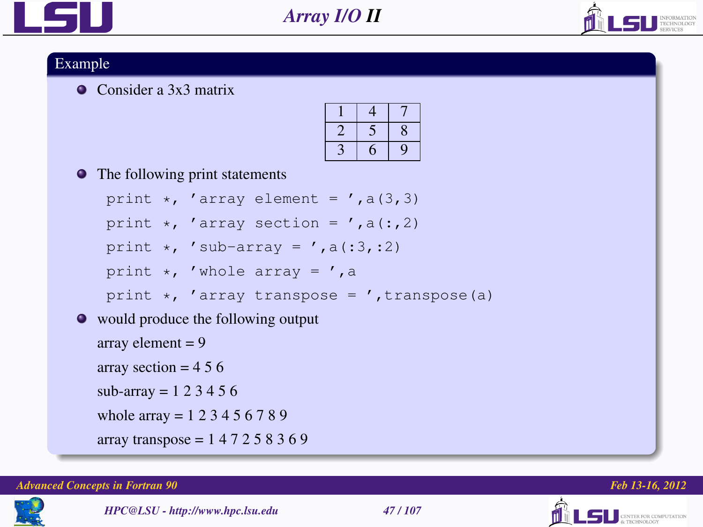



#### Example

Consider a 3x3 matrix

• The following print statements

```
print \star, 'array element = ', a(3,3)
```
print  $\star$ , 'array section = ', a(:, 2)

```
print \star, 'sub-array = ', a(:3,:2)
```

```
print \star, 'whole array = ', a
```

```
print \star, 'array transpose = ', transpose(a)
```
would produce the following output

```
array element = 9
```

```
array section = 456
```

```
sub-array = 1, 2, 3, 4, 5, 6
```

```
whole array = 1 2 3 4 5 6 7 8 9
```
array transpose =  $147258369$ 

#### *Advanced Concepts in Fortran 90 Feb 13-16, 2012*



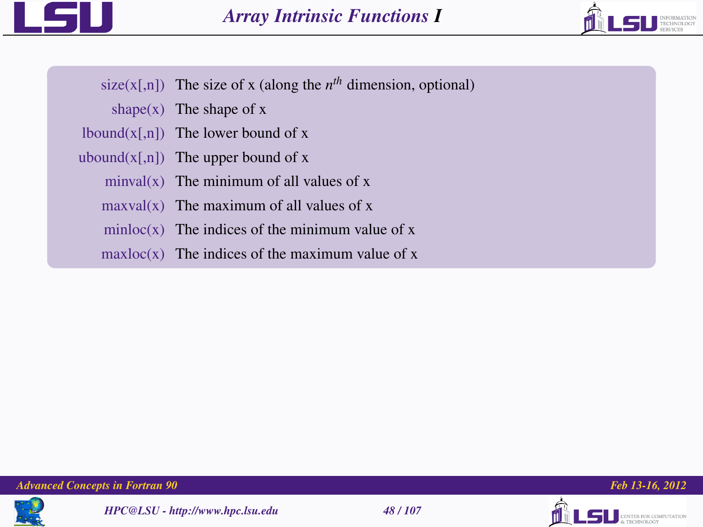



- size( $x$ [,n]) The size of x (along the  $n<sup>th</sup>$  dimension, optional)
	- shape $(x)$  The shape of x
- $lbound(x[,n])$  The lower bound of x
- ubound $(x[,n])$  The upper bound of x
	- $minval(x)$  The minimum of all values of x
	- $maxval(x)$  The maximum of all values of x
	- $minloc(x)$  The indices of the minimum value of x
	- $maxloc(x)$  The indices of the maximum value of x





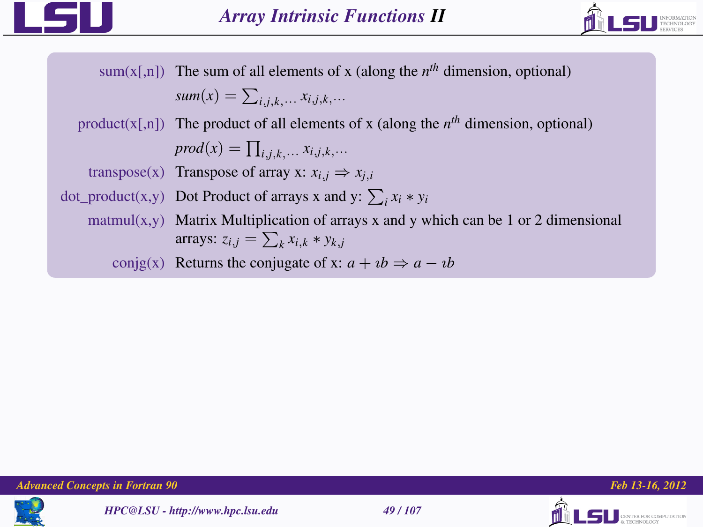



sum( $x$ [,n]) The sum of all elements of x (along the  $n<sup>th</sup>$  dimension, optional)  $sum(x) = \sum_{i,j,k,\dots} x_{i,j,k,\dots}$ product( $x$ [,n]) The product of all elements of x (along the  $n<sup>th</sup>$  dimension, optional)  $\text{prod}(x) = \prod_{i,j,k,\dots} x_{i,j,k,\dots}$ transpose(x) Transpose of array x:  $x_{i,j} \Rightarrow x_{j,i}$ dot\_product(x,y) Dot Product of arrays x and y:  $\sum_i x_i * y_i$ matmul(x,y) Matrix Multiplication of arrays x and y which can be 1 or 2 dimensional arrays:  $z_{i,j} = \sum_k x_{i,k} * y_{k,j}$ conjg(x) Returns the conjugate of x:  $a + ib \Rightarrow a - ib$ 







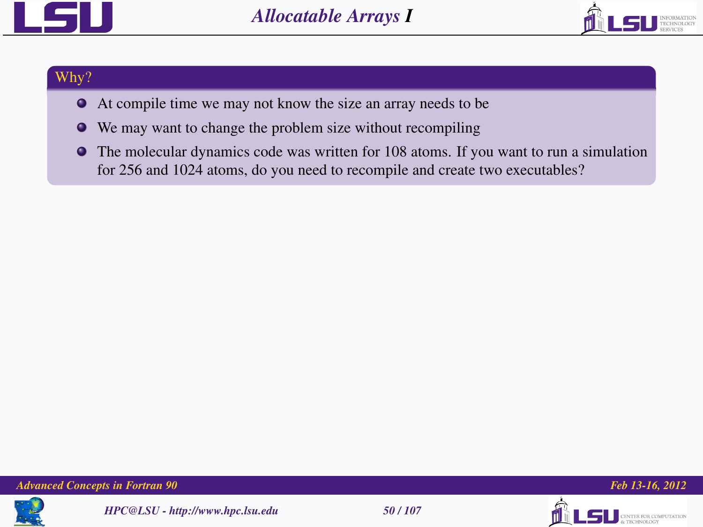



#### Why?

- At compile time we may not know the size an array needs to be
- We may want to change the problem size without recompiling
- $\bullet$  The molecular dynamics code was written for 108 atoms. If you want to run a simulation for 256 and 1024 atoms, do you need to recompile and create two executables?

*Advanced Concepts in Fortran 90 Feb 13-16, 2012*







**TER FOR COMPUTATION**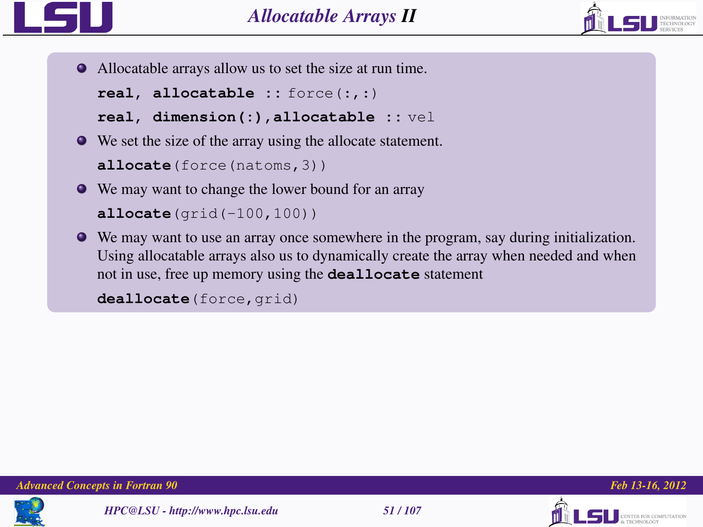



Allocatable arrays allow us to set the size at run time.

```
real, allocatable :: force(:,:)
```

```
real, dimension(:),allocatable :: vel
```
We set the size of the array using the allocate statement.

```
allocate(force(natoms,3))
```
We may want to change the lower bound for an array

```
allocate(grid(-100,100))
```
We may want to use an array once somewhere in the program, say during initialization. Using allocatable arrays also us to dynamically create the array when needed and when not in use, free up memory using the **deallocate** statement

```
deallocate(force, grid)
```


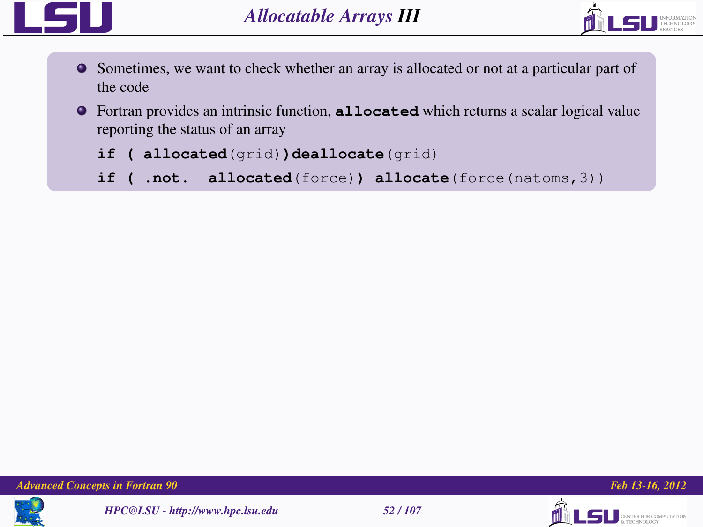



- Sometimes, we want to check whether an array is allocated or not at a particular part of the code
- Fortran provides an intrinsic function, **allocated** which returns a scalar logical value reporting the status of an array
	- **if ( allocated**(grid)**)deallocate**(grid)
	- **if ( .not. allocated**(force)**) allocate**(force(natoms,3))









LS II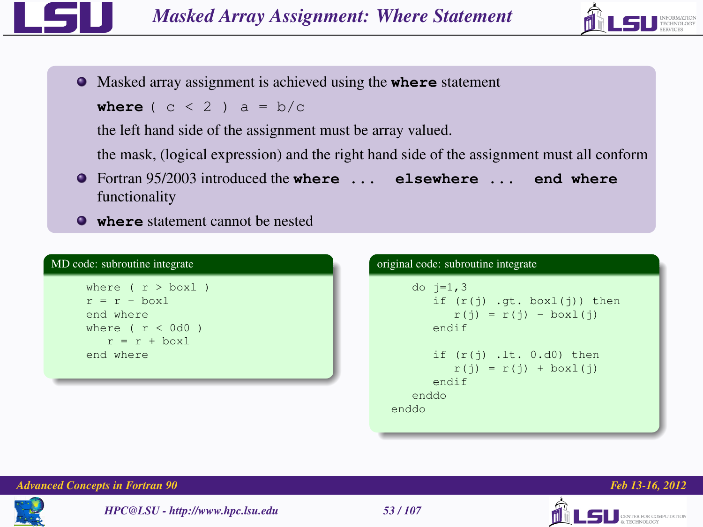



Masked array assignment is achieved using the **where** statement

**where**  $(c < 2)$  a = b/c

the left hand side of the assignment must be array valued.

the mask, (logical expression) and the right hand side of the assignment must all conform

- Fortran 95/2003 introduced the **where ... elsewhere ... end where** functionality
- **where** statement cannot be nested

| MD code: subroutine integrate                                                                        |  |
|------------------------------------------------------------------------------------------------------|--|
| where $(r > box1)$<br>$r = r - box$<br>end where<br>where $(r < 0d0)$<br>$r = r + box1$<br>end where |  |
|                                                                                                      |  |

| original code: subroutine integrate                                                  |  |  |
|--------------------------------------------------------------------------------------|--|--|
| do $i=1, 3$<br>if $(r(i)$ .gt. boxl $(i)$ ) then<br>$r(i) = r(i) - box1(i)$<br>endif |  |  |
| if $(r(i)$ . It. $0.d0)$ then<br>$r(i) = r(i) + boxl(i)$<br>endif<br>enddo<br>enddo  |  |  |
|                                                                                      |  |  |







**TER FOR COMPUTATION**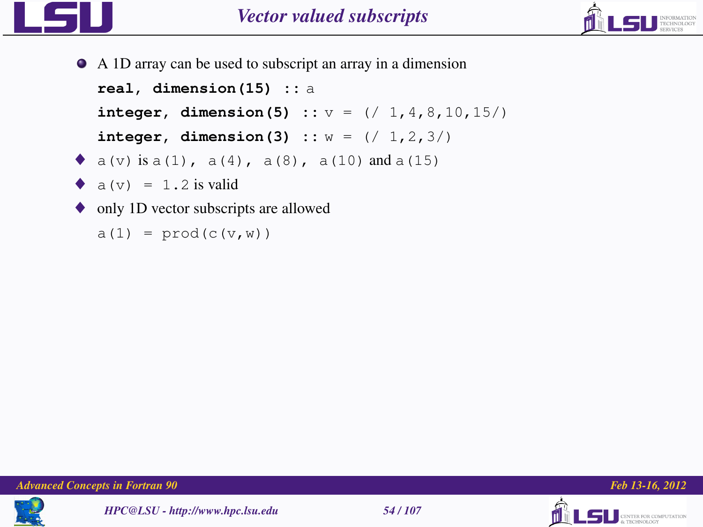



A 1D array can be used to subscript an array in a dimension **real, dimension(15) ::** a **integer, dimension(5) ::** v = (/ 1,4,8,10,15/) **integer, dimension(3)** ::  $w = (1, 2, 3)$  $\bullet$  a(v) is a(1), a(4), a(8), a(10) and a(15)  $\bullet$  a (v) = 1.2 is valid ♦ only 1D vector subscripts are allowed  $a(1) = \text{prod}(c(v,w))$ 





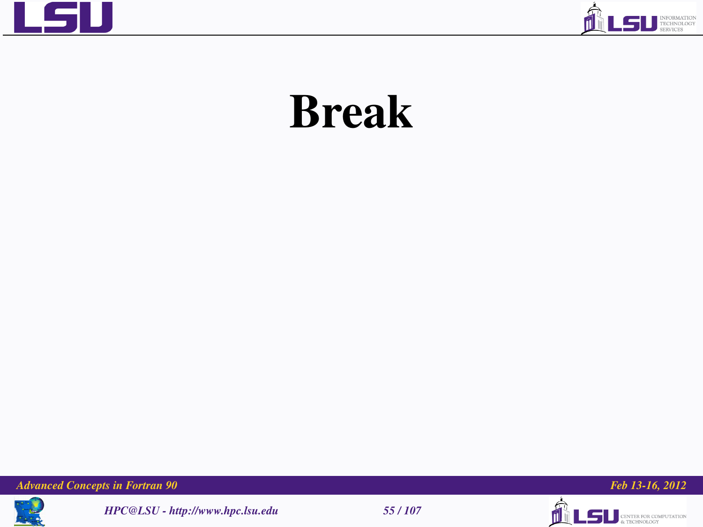



# Break

*Advanced Concepts in Fortran 90 Feb 13-16, 2012*



*HPC@LSU - http://www.hpc.lsu.edu 55 / 107*





ń

**ILSU** SINTER FOR COMPUTATION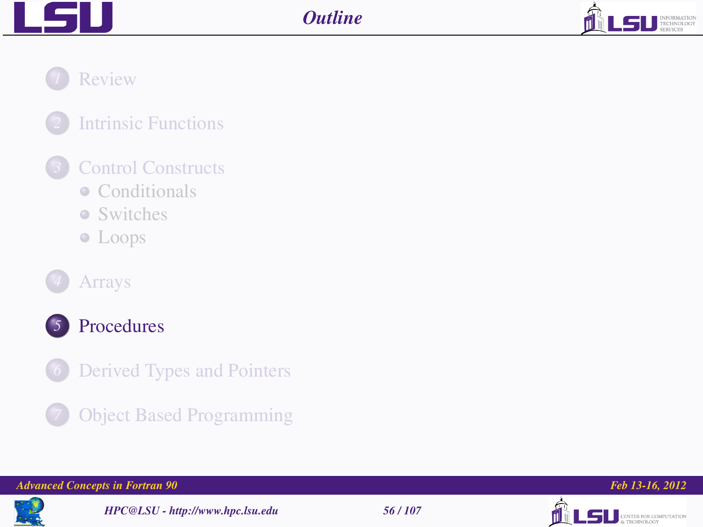



*1* [Review](#page-2-0)

# *2* [Intrinsic Functions](#page-10-0)

# *3* [Control Constructs](#page-14-0)

- [Conditionals](#page-16-0)
- [Switches](#page-22-0)
- [Loops](#page-25-0)



## *4* [Arrays](#page-31-0)



## *5* [Procedures](#page-55-0)

- *C* [Derived Types and Pointers](#page-86-0)
- *7* [Object Based Programming](#page-97-0)

#### *Advanced Concepts in Fortran 90 Feb 13-16, 2012*



*HPC@LSU - http://www.hpc.lsu.edu 56 / 107*



<span id="page-55-0"></span>

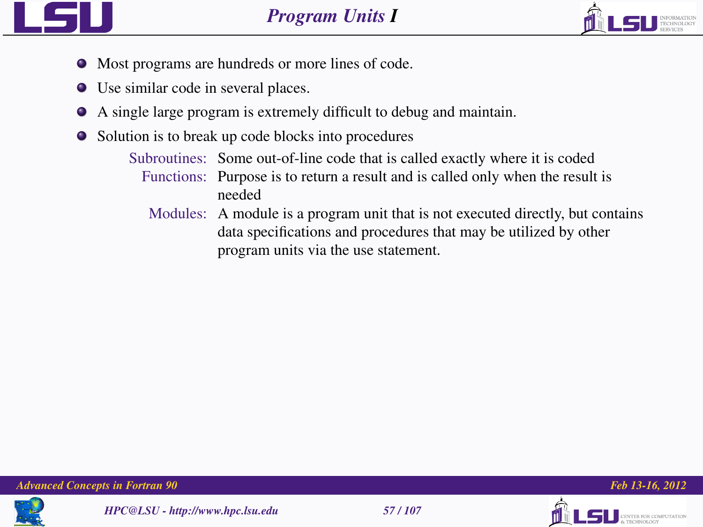



- Most programs are hundreds or more lines of code.
- Use similar code in several places.
- A single large program is extremely difficult to debug and maintain.
- Solution is to break up code blocks into procedures
	- Subroutines: Some out-of-line code that is called exactly where it is coded Functions: Purpose is to return a result and is called only when the result is needed
		- Modules: A module is a program unit that is not executed directly, but contains data specifications and procedures that may be utilized by other program units via the use statement.







THE ROB COMPETENTION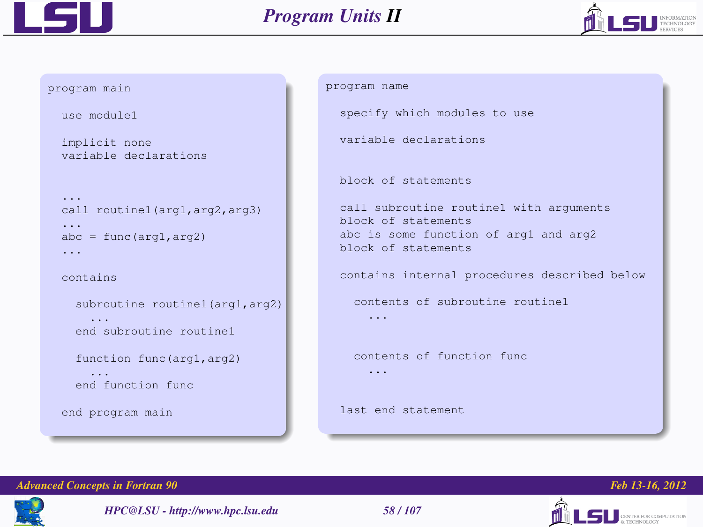



```
program main
  use module1
  implicit none
  variable declarations
  call routine1(arg1,arg2,arg3)
  ...
  abc = func(arg1, arg2)...
  contains
    subroutine routine1(arg1,arg2)
      ...
    end subroutine routine1
    function func(arg1,arg2)
      ...
    end function func
  end program main
```

```
program name
```
specify which modules to use

variable declarations

block of statements

```
call subroutine routine1 with arguments
block of statements
abc is some function of arg1 and arg2
block of statements
```
contains internal procedures described below

contents of subroutine routine1

...

...

contents of function func

last end statement







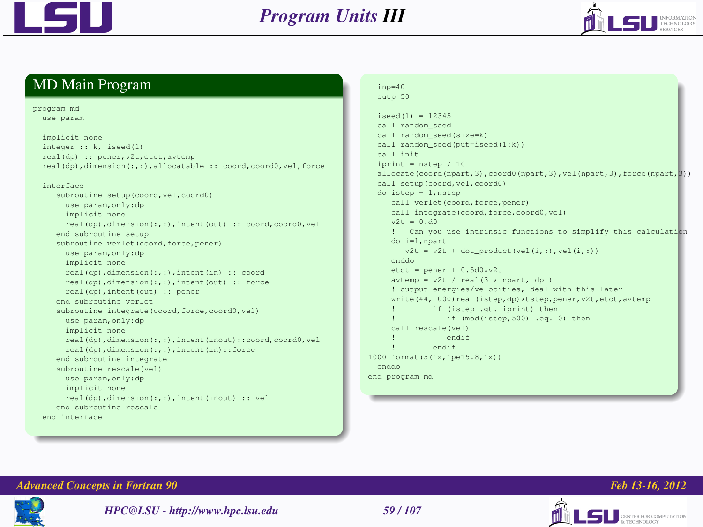



#### MD Main Program

program md

use param

```
implicit none
integer :: k, iseed(1)
real(dp) :: pener,v2t,etot,avtemp
real(dp),dimension(:,:),allocatable :: coord,coord0,vel,force
interface
  subroutine setup(coord,vel,coord0)
     use param,only:dp
     implicit none
     real(dp),dimension(:,:),intent(out) :: coord,coord0,vel
  end subroutine setup
  subroutine verlet (coord, force, pener)
    use param,only:dp
     implicit none
     real(dp),dimension(:,:),intent(in) :: coord
     real(dp),dimension(:,:),intent(out) :: force
     real(dp),intent(out) :: pener
  end subroutine verlet
   subroutine integrate(coord, force, coord0, vel)
     use param,only:dp
     implicit none
     real(dp),dimension(:,:),intent(inout)::coord,coord0,vel
     real(dp),dimension(:,:),intent(in)::force
  end subroutine integrate
  subroutine rescale(vel)
    use param,only:dp
     implicit none
     real(dp),dimension(:,:),intent(inout) :: vel
  end subroutine rescale
end interface
```
#### $inp=40$

outp=50

iseed(1) = 12345 call random\_seed call random\_seed(size=k) call random\_seed(put=iseed(1:k)) call init iprint  $=$  nstep  $/10$ allocate(coord(npart,3),coord0(npart,3),vel(npart,3),force(npart,3)) call setup(coord,vel,coord0) do istep = 1,nstep call verlet(coord, force, pener) call integrate(coord, force, coord0, vel)  $v2t = 0. d0$ Can you use intrinsic functions to simplify this calculation do i=1,npart  $v2t = v2t + dot$  product(vel(i,:),vel(i,:)) enddo  $etot = pener + 0.5d0*v2t$  $\text{avtemp} = \text{v2t}$  /  $\text{real}(3 * \text{npart}, \text{dp})$ ! output energies/velocities, deal with this later write(44,1000)real(istep,dp)\*tstep,pener,v2t,etot,avtemp if (isten .gt. inrint) then if (mod(istep,500) .eq. 0) then call rescale(vel) endif endif 1000 format(5(1x,1pe15.8,1x)) enddo end program md





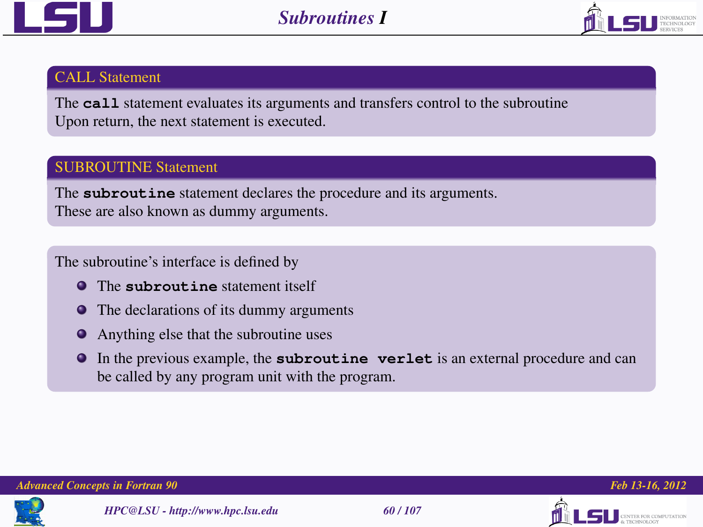



#### CALL Statement

The **call** statement evaluates its arguments and transfers control to the subroutine Upon return, the next statement is executed.

## SUBROUTINE Statement

The **subroutine** statement declares the procedure and its arguments. These are also known as dummy arguments.

The subroutine's interface is defined by

- **O** The subrout ine statement itself
- The declarations of its dummy arguments
- Anything else that the subroutine uses
- In the previous example, the **subroutine verlet** is an external procedure and can be called by any program unit with the program.





TER FOR COMPUTATION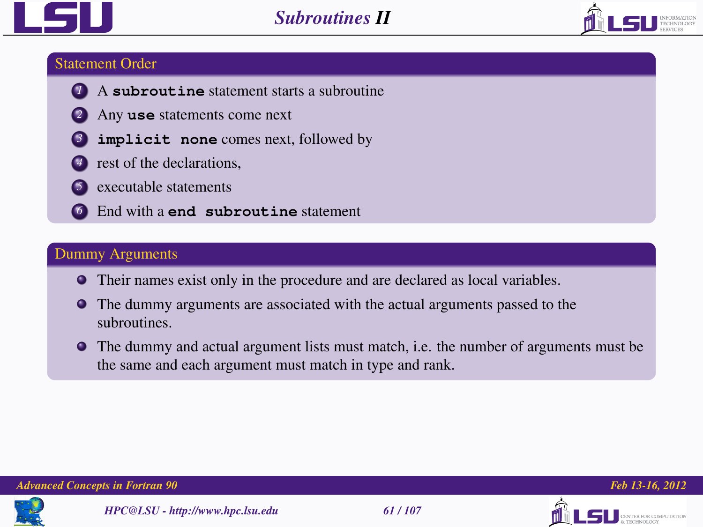



#### Statement Order

- *<sup>1</sup>* A **subroutine** statement starts a subroutine
	- *<sup>2</sup>* Any **use** statements come next
- **implicit** none comes next, followed by
- **t** rest of the declarations,
- *5* executable statements
- *<sup>6</sup>* End with a **end subroutine** statement

## Dummy Arguments

- Their names exist only in the procedure and are declared as local variables.
- The dummy arguments are associated with the actual arguments passed to the subroutines.
- The dummy and actual argument lists must match, i.e. the number of arguments must be the same and each argument must match in type and rank.





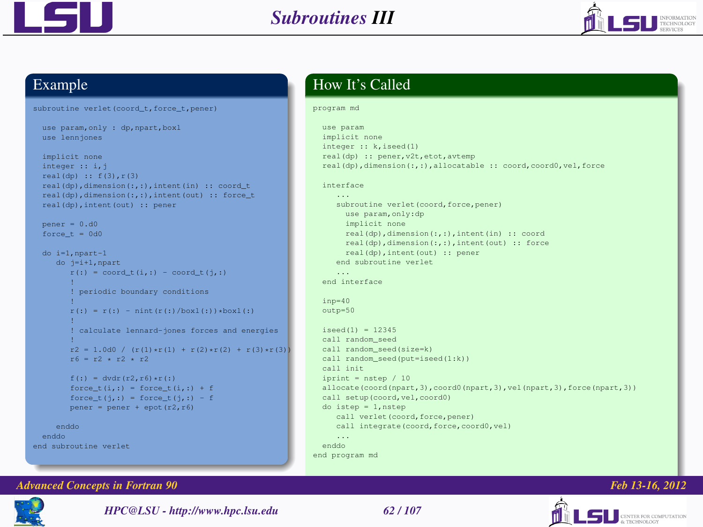



#### Example

```
subroutine verlet(coord_t,force_t,pener)
```

```
use param,only : dp,npart,boxl
use lennjones
```

```
implicit none
integer :: i,j
real(dp) :: f(3),r(3)
real(dp),dimension(:,:),intent(in) :: coord_t
real(dp),dimension(:,:),intent(out) :: force_t
real(dp),intent(out) :: pener
pener - 0. d0force_t = 0d0do i=1,npart-1
   do j=i+1,npart
      r(:) = coord t(i,:) = coord t(i,:)! periodic boundary conditions
      r(:) = r(:) = \text{nint}(r(:)/\text{boxl}(:)) * \text{boxl}(:)! calculate lennard-jones forces and energies
      r2 = 1.0d0 / (r(1) + r(1) + r(2) + r(2) + r(3) + r(3))r6 - r2 + r2 + r2f(r) = \frac{dw}{r^2}, r6) +r(:)
      force_t(i,:) - force_t(i,:) + fforce_t(j,:) = force_t(j,:) = fpener = pener + epot(r2, r6)enddo
enddo
```

```
end subroutine verlet
```
## How It's Called

#### program md

```
use param
  implicit none
  integer :: k,iseed(1)
  real(dp) :: pener,v2t,etot,avtemp
  real(dp),dimension(:,:),allocatable :: coord,coord0,vel,force
  interface
     subroutine verlet (coord, force, pener)
       use param,only:dp
       implicit none
       real(dp),dimension(:,:),intent(in) :: coord
       real(dp),dimension(:,:),intent(out) :: force
       real(dp),intent(out) :: pener
     end subroutine verlet
  end interface
  inp=40
  outp=50
  iseed(1) - 12345
  call random_seed
  call random_seed(size=k)
 call random_seed(put=iseed(1:k))
 call init
  iprint = nstep / 10
  allocate(coord(npart,3),coord0(npart,3),vel(npart,3),force(npart,3))
 call setup(coord,vel,coord0)
 do istep = 1,nstep
     call verlet(coord, force, pener)
     call integrate(coord, force, coord0, vel)
 enddo
end program md
```
#### *Advanced Concepts in Fortran 90 Feb 13-16, 2012*



*HPC@LSU - http://www.hpc.lsu.edu 62 / 107*

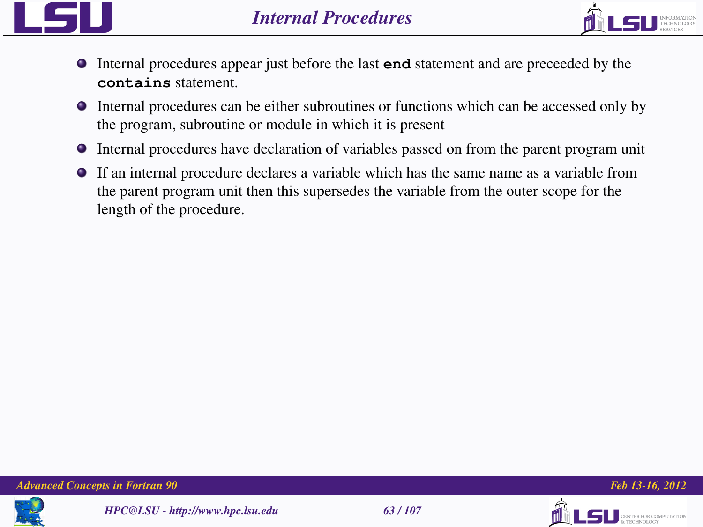



- Internal procedures appear just before the last **end** statement and are preceeded by the **contains** statement.
- Internal procedures can be either subroutines or functions which can be accessed only by the program, subroutine or module in which it is present
- Internal procedures have declaration of variables passed on from the parent program unit
- If an internal procedure declares a variable which has the same name as a variable from the parent program unit then this supersedes the variable from the outer scope for the length of the procedure.









THE ROB COMPETENTION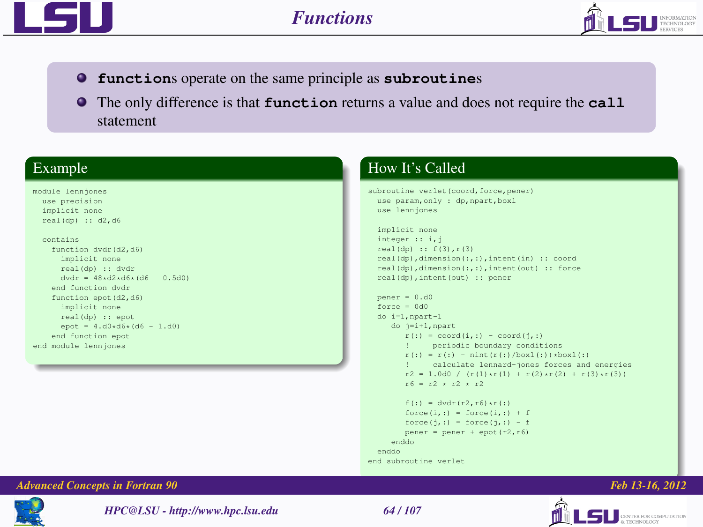



- **function**s operate on the same principle as **subroutine**s
- **The only difference is that function returns a value and does not require the call** statement

#### Example

#### module lennjones use precision implicit none real(dp) :: d2,d6

#### contains

```
function dvdr(d2,d6)
     implicit none
     real(dp) :: dvdr
     dvdr = 48*d2*d6*(d6 - 0.5d0)
   end function dvdr
   function epot(d2,d6)
     implicit none
     real(dp) :: epot
      epot = 4.d0+d6+(d6 = 1.d0)
   end function epot
end module lennjones
```
## How It's Called

```
subroutine verlet(coord, force, pener)
  use param, only : dp, npart, boxl
  use lennjones
```

```
implicit none
integer :: i,j
real(dp) :: f(3),r(3)
real(dp),dimension(:,:),intent(in) :: coord
real(dp),dimension(:,:),intent(out) :: force
real(dp),intent(out) :: pener
```

```
pener = 0. d0force = 0d0do i=1,npart-1
   do j=i+1,npart
       r(:) = coord(i,:) = coord(i,:)! periodic boundary conditions
       r(:) = r(:) = \text{nint}(r(:)/\text{boxl}(:)) * \text{boxl}(:)<br>! calculate lennard-jones forces and
               ! calculate lennard-jones forces and energies
       r2 = 1.0d0 / (r(1) \cdot r(1) + r(2) \cdot r(2) + r(3) \cdot r(3))r6 - r2 + r2 + r2f(·) = \frac{du}{dr}(r^2, r^2) + r(·)force(i,:) - force(i,:) + fforce(i,:) = force(i,:) - fp_{\text{ap}} = p_{\text{ap}} + p_{\text{ap}}(r^2, r^2)
```

```
enddo
 enddo
end subroutine verlet
```
#### *Advanced Concepts in Fortran 90 Feb 13-16, 2012*



*HPC@LSU - http://www.hpc.lsu.edu 64 / 107*

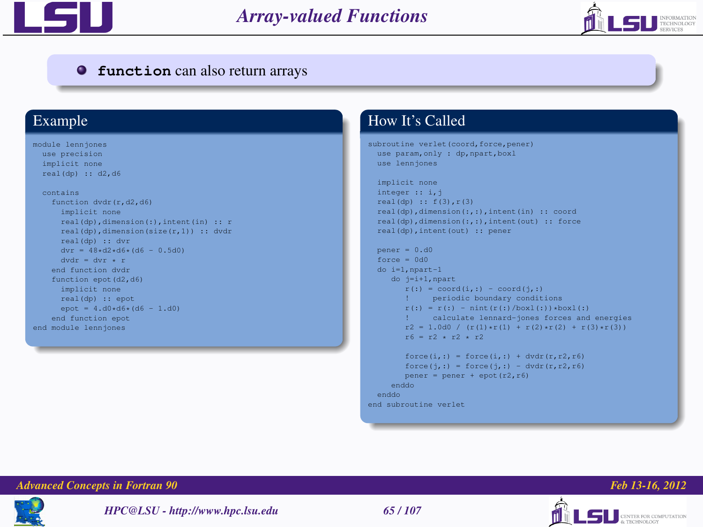



#### **function** can also return arrays

#### Example

```
module lennjones
 use precision
 implicit none
 real(dp) :: d2,d6
```
#### contains

```
function dvdr(r,d2,d6)
      implicit none
      real(dp),dimension(:),intent(in) :: r
      real(dp),dimension(size(r,1)) :: dvdr
      real(dp) :: dvr
     dvr = 48*d2*d6*(d6 - 0.5d0)dvdr = dvr + rend function dvdr
   function epot(d2,d6)
      implicit none
     real(dp) :: epot
     epot = 4.d0*d6*(d6 = 1.d0)
   end function epot
end module lennjones
```
## How It's Called

```
subroutine verlet(coord, force, pener)
  use param, only : dp, npart, boxl
  use lennjones
```

```
implicit none
integer :: i,j
real(dp) :: f(3), r(3)real(dp),dimension(:,:),intent(in) :: coord
real(dp),dimension(:,:),intent(out) :: force
real(dp),intent(out) :: pener
```

```
pener = 0. d0force = 0d0do i=1,npart-1
  do j=i+1,npart
      r(:) = coord(i,:) = coord(j,:)! periodic boundary conditions
      r(:) = r(:) = \nint(r(:)/boxl(:)) * boxl(:)! calculate lennard-jones forces and energies
      r2 = 1.0d0 / (r(1) \cdot r(1) + r(2) \cdot r(2) + r(3) \cdot r(3))r6 - r2 + r2 + r2force(i,:) = force(i,:) + dvdr(r,r2,r6)force(j, :) = force(j, :) = dvdr(r, r2, r6)pener = pener + epot(r2, r6)enddo
enddo
```

```
end subroutine verlet
```


*HPC@LSU - http://www.hpc.lsu.edu 65 / 107*





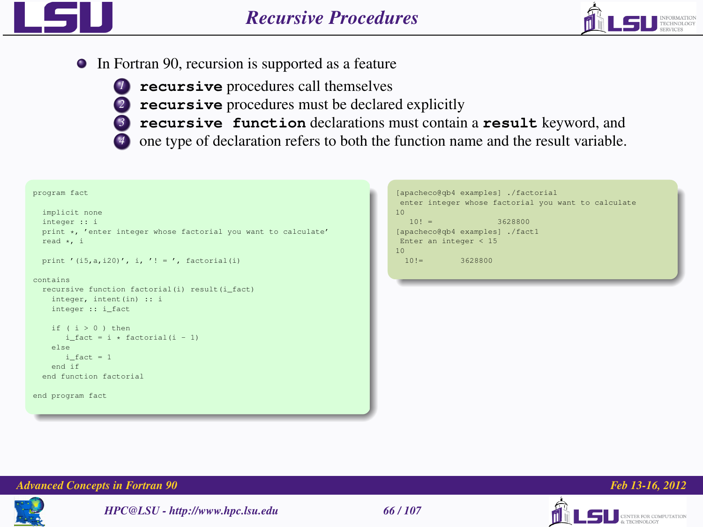

In Fortran 90, recursion is supported as a feature



- *<sup>1</sup>* **recursive** procedures call themselves
	- *<sup>2</sup>* **recursive** procedures must be declared explicitly
	- *<sup>3</sup>* **recursive function** declarations must contain a **result** keyword, and
	- *4* one type of declaration refers to both the function name and the result variable.

#### program fact

```
implicit none
integer :: i
print *, 'enter integer whose factorial you want to calculate'
read *, i
```

```
print '(i5,a,i20)', i, '! = ', factorial(i)
```
#### contains

```
recursive function factorial(i) result(i_fact)
 integer, intent(in) :: i
 integer :: i_fact
```

```
if (i > 0) then
```

```
i fact = i * factorial(i - 1)
 else
    i fact = 1end if
end function factorial
```

```
end program fact
```

```
[apacheco@qb4 examples] ./factorial
enter integer whose factorial you want to calculate
10
  10! = 3628800.
[apacheco@qb4 examples] ./fact1
Enter an integer < 15
10<br>101 -3628800
```


#### *Advanced Concepts in Fortran 90 Feb 13-16, 2012*





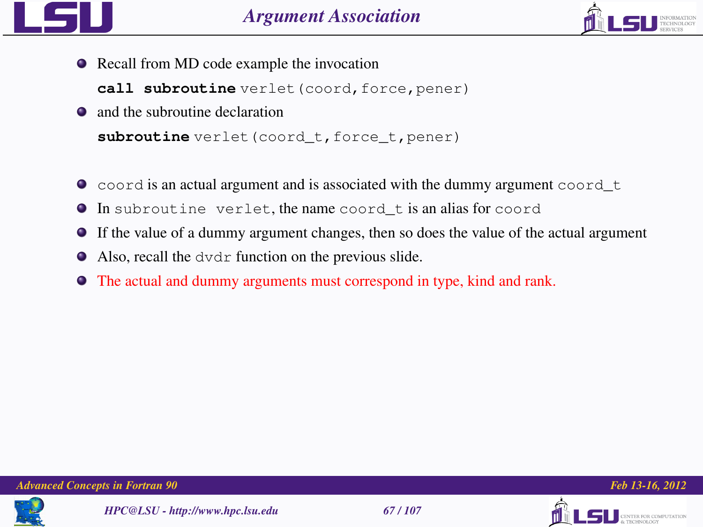



• Recall from MD code example the invocation

call subroutine verlet (coord, force, pener)

- and the subroutine declaration subroutine verlet(coord\_t,force\_t,pener)
- $\bullet$  coord is an actual argument and is associated with the dummy argument coord  $\pm$
- In subroutine verlet, the name coord\_t is an alias for coord
- If the value of a dummy argument changes, then so does the value of the actual argument
- Also, recall the dvdr function on the previous slide.
- The actual and dummy arguments must correspond in type, kind and rank.







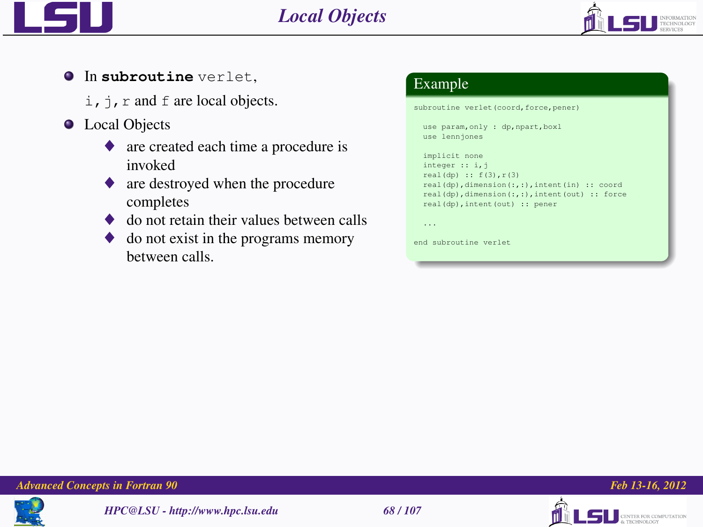



- **O** In subroutine verlet.
	- $i$ ,  $j$ ,  $r$  and  $f$  are local objects.
- **•** Local Objects
	- ♦ are created each time a procedure is invoked
	- are destroyed when the procedure completes
	- do not retain their values between calls
	- do not exist in the programs memory between calls.

## Example

subroutine verlet(coord, force, pener) use param,only : dp,npart,boxl use lennjones implicit none integer :: i,j real(dp) :: f(3),r(3) real(dp),dimension(:,:),intent(in) :: coord real(dp),dimension(:,:),intent(out) :: force real(dp),intent(out) :: pener ...

end subroutine verlet







LSU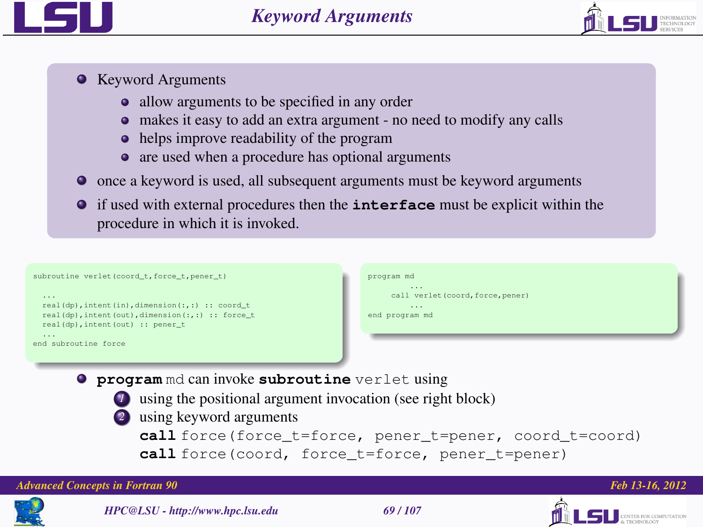

- Keyword Arguments
	- allow arguments to be specified in any order
	- makes it easy to add an extra argument no need to modify any calls
	- helps improve readability of the program
	- are used when a procedure has optional arguments
- once a keyword is used, all subsequent arguments must be keyword arguments
- if used with external procedures then the **interface** must be explicit within the procedure in which it is invoked.

| subroutine verlet (coord_t, force_t, pener_t)                                                                                                                             | program md<br>$\cdots$                                          |
|---------------------------------------------------------------------------------------------------------------------------------------------------------------------------|-----------------------------------------------------------------|
| $\sim$ $\sim$ $\sim$<br>real(dp), intent(in), dimension(:,:) :: coord_t<br>real(dp), intent (out), dimension( $:$ , $:$ ) $:$ force_t<br>real(dp), intent(out) :: pener_t | call verlet (coord, force, pener)<br>$\cdots$<br>end program md |
| $\sim$ $\sim$ $\sim$<br>end subroutine force                                                                                                                              |                                                                 |

- **program** md can invoke **subroutine** verlet using
	-

*1* using the positional argument invocation (see right block)

*2* using keyword arguments

**call** force(force\_t=force, pener\_t=pener, coord\_t=coord) **call** force(coord, force\_t=force, pener\_t=pener)



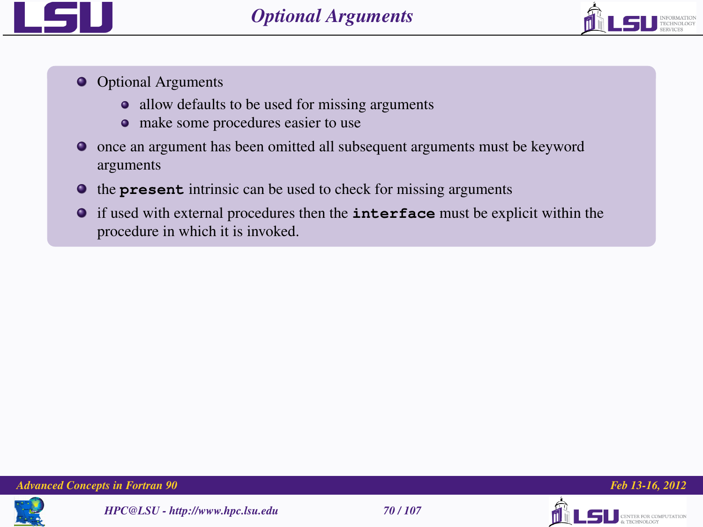

- **O** Optional Arguments
	- allow defaults to be used for missing arguments
	- make some procedures easier to use
- once an argument has been omitted all subsequent arguments must be keyword arguments
- $\bullet$  the **present** intrinsic can be used to check for missing arguments
- if used with external procedures then the **interface** must be explicit within the procedure in which it is invoked.







**TINTER FOR COMPUTATION**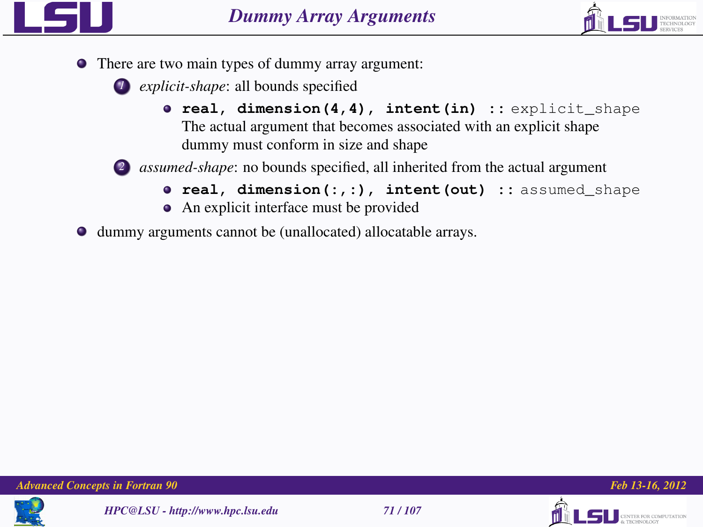

- There are two main types of dummy array argument:
	- *1 explicit-shape*: all bounds specified
		- **real, dimension(4,4), intent(in) ::** explicit\_shape The actual argument that becomes associated with an explicit shape dummy must conform in size and shape



- *2 assumed-shape*: no bounds specified, all inherited from the actual argument
	- **real, dimension(:,:), intent(out) ::** assumed\_shape
	- An explicit interface must be provided
- dummy arguments cannot be (unallocated) allocatable arrays.







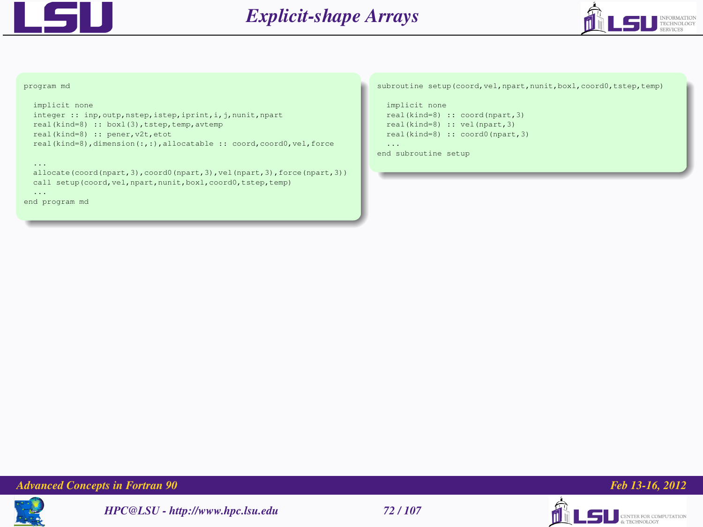



#### program md

```
implicit none
```

```
integer :: inp, outp, nstep, istep, iprint, i, j, nunit, npart
real(kind=8) :: boxl(3),tstep,temp,avtemp
real(kind=8) :: pener,v2t,etot
real(kind=8),dimension(:,:),allocatable :: coord,coord0,vel,force
```
...

```
allocate(coord(npart,3),coord0(npart,3),vel(npart,3),force(npart,3))
call setup(coord,vel,npart,nunit,boxl,coord0,tstep,temp)
...
```

```
end program md
```
subroutine setup(coord,vel,npart,nunit,boxl,coord0,tstep,temp)

```
implicit none
  real(kind=8) :: coord(npart,3)
  real(kind=8) :: vel(npart,3)
  real(kind=8) :: coord0(npart,3)
  ...
end subroutine setup
```
*Advanced Concepts in Fortran 90 Feb 13-16, 2012*







LS <u>DESERVOLGOY</u>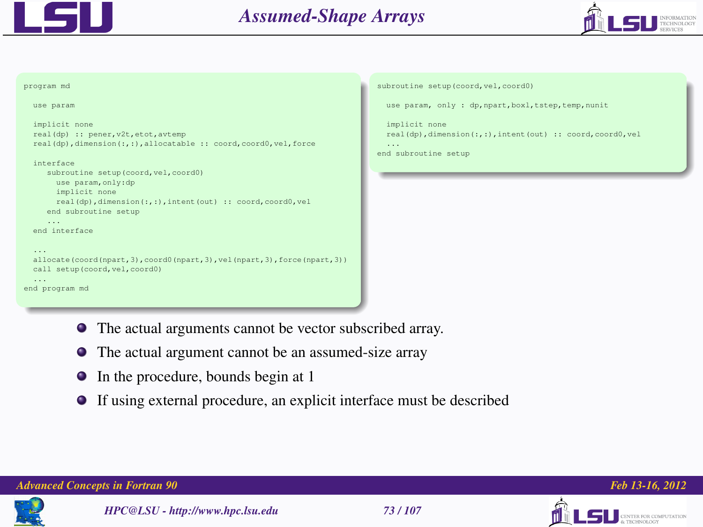



```
program md
  use param
  implicit none
  real(dp) :: pener,v2t,etot,avtemp
  real(dp),dimension(:,:),allocatable :: coord,coord0,vel,force
  interface
     subroutine setup(coord, vel, coord0)
       use param,only:dp
       implicit none
       real(dp),dimension(:,:),intent(out) :: coord,coord0,vel
     end subroutine setup
  end interface
 allocate(coord(npart,3),coord0(npart,3),vel(npart,3),force(npart,3))
 call setup(coord,vel,coord0)
end program md
```

```
subroutine setup(coord, vel, coord0)
```

```
use param, only : dp, npart, boxl, tstep, temp, nunit
```

```
implicit none
real(dp),dimension(:,:),intent(out) :: coord,coord0,vel
...
```

```
end subroutine setup
```
- The actual arguments cannot be vector subscribed array.
- ۰ The actual argument cannot be an assumed-size array
- 0 In the procedure, bounds begin at 1
- If using external procedure, an explicit interface must be described  $\bullet$

### *Advanced Concepts in Fortran 90 Feb 13-16, 2012*



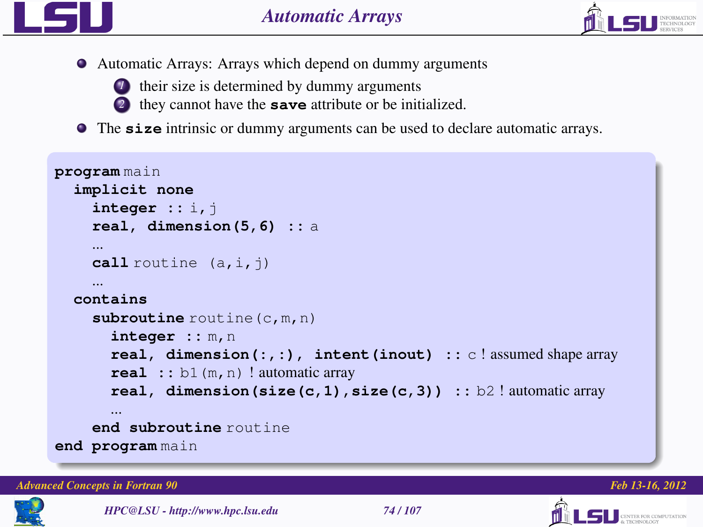

Automatic Arrays: Arrays which depend on dummy arguments



- *1* their size is determined by dummy arguments
- *<sup>2</sup>* they cannot have the **save** attribute or be initialized.
- The **size** intrinsic or dummy arguments can be used to declare automatic arrays.

```
program main
  implicit none
    integer :: i,j
    real, dimension(5,6) :: a
    ...
    call routine (a, i, j)
    ...
  contains
    subroutine routine (c, m, n)
       integer :: m,n
       real, dimension(:,:), intent(inout) :: c ! assumed shape array
       real :: b1(m,n) ! automatic array
       real, dimension(size(c,1),size(c,3)) :: b2 ! automatic array
    end subroutine routine
end program main
```
*Advanced Concepts in Fortran 90 Feb 13-16, 2012*



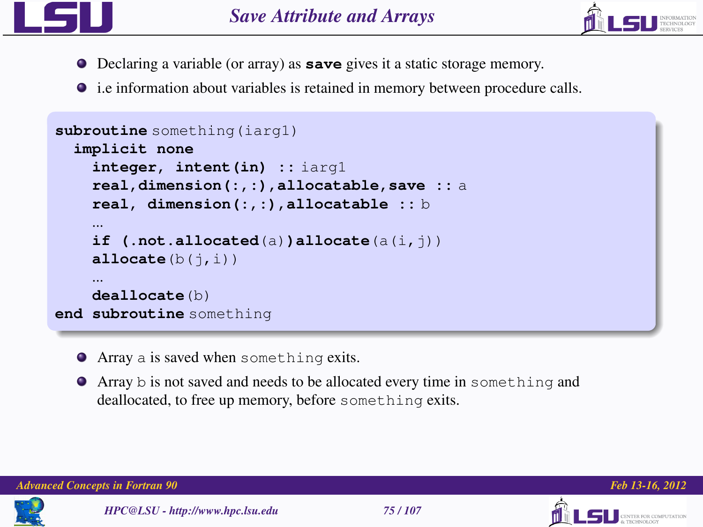



- Declaring a variable (or array) as **save** gives it a static storage memory.
- $\bullet$  i.e information about variables is retained in memory between procedure calls.

```
subroutine something(iarg1)
  implicit none
    integer, intent(in) :: iarg1
    real,dimension(:,:),allocatable,save :: a
    real, dimension(:,:),allocatable :: b
    ...
    if (.not.allocated(a))allocate(a(i,j))
    allocate(b(i.i))
    ...
    deallocate(b)
end subroutine something
```
- Array a is saved when something exits.
- Array b is not saved and needs to be allocated every time in something and deallocated, to free up memory, before something exits.

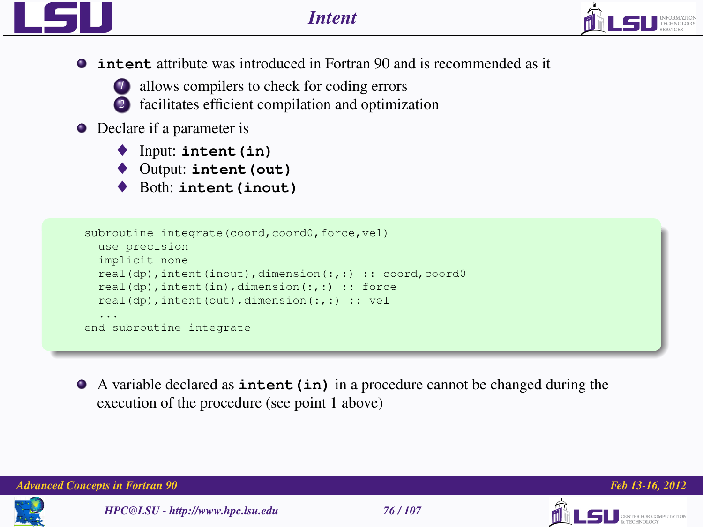

**intent** attribute was introduced in Fortran 90 and is recommended as it



- *1* allows compilers to check for coding errors
	- *2* facilitates efficient compilation and optimization

## **O** Declare if a parameter is

- ♦ Input: **intent(in)**
- ♦ Output: **intent(out)**
- Both: intent (inout)

```
subroutine integrate(coord,coord0,force,vel)
  use precision
  implicit none
  real(dp), intent(inout), dimension(:,:) :: coord, coord0
  real(dp),intent(in),dimension(:,:) :: force
  real(dp),intent(out),dimension(:,:) :: vel
  ...
end subroutine integrate
```
A variable declared as **intent(in)** in a procedure cannot be changed during the execution of the procedure (see point 1 above)

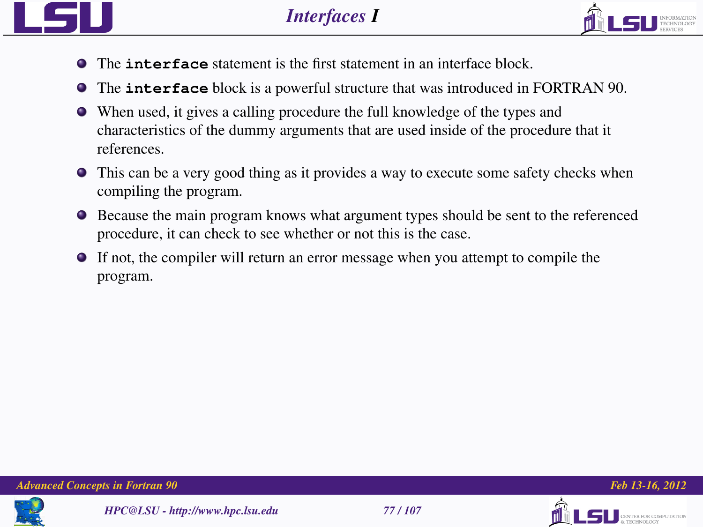

- 
- The **interface** statement is the first statement in an interface block.
- The **interface** block is a powerful structure that was introduced in FORTRAN 90.
- When used, it gives a calling procedure the full knowledge of the types and characteristics of the dummy arguments that are used inside of the procedure that it references.
- This can be a very good thing as it provides a way to execute some safety checks when compiling the program.
- Because the main program knows what argument types should be sent to the referenced procedure, it can check to see whether or not this is the case.
- If not, the compiler will return an error message when you attempt to compile the program.







TER FOR COMPUTATION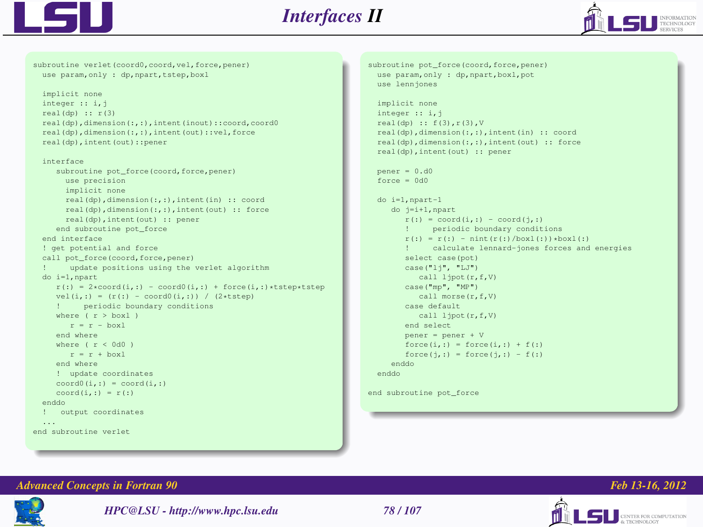



subroutine verlet(coord0,coord,vel,force,pener) use param, only : dp, npart, tstep, boxl implicit none integer :: i,j  $real(dp) :: r(3)$ real(dp),dimension(:,:),intent(inout)::coord,coord0 real(dp),dimension(:,:),intent(out)::vel,force real(dp),intent(out)::pener interface subroutine pot\_force(coord,force,pener) use precision implicit none real(dp),dimension(:,:),intent(in) :: coord real(dp),dimension(:,:),intent(out) :: force real(dp),intent(out) :: pener end subroutine pot\_force end interface ! get potential and force call pot force(coord, force, pener) ! update positions using the verlet algorithm do i=1,npart  $r(:) = 2 * coord(i,:) - coord(0(i,:) + force(i,:)*tstep*tstep$  $vel(i,:) = (r(:) = coord0(i,:)) / (2*tstep)$ ! periodic boundary conditions where  $(r > box1)$  $r = r - \text{box}$ end where where  $(r < 0d0)$  $r = r + box1$ end where ! update coordinates  $coord0(i,:) = coord(i,:)$  $coord(i,:) = r(:)$ enddo ! output coordinates end subroutine verlet

```
subroutine pot_force(coord,force,pener)
  use param, only : dp, npart, boxl, pot
  use lennjones
  implicit none
  integer :: i, jreal(dp) :: f(3),r(3),V
  real(dp),dimension(:,:),intent(in) :: coord
  real(dp),dimension(:,:),intent(out) :: force
  real(dp),intent(out) :: pener
  nener = 0. d0force = 0d0do i=1,npart-1
     do j=i+1,npart
        r(:) = coord(i,:) = coord(\nmid, :)! periodic boundary conditions
        r(:) = r(:) = \text{nint}(r(:)/\text{boxl}(:))*\text{boxl}(:)calculate lennard-jones forces and energies
        select case(pot)
        case("lj", "LJ")
           call ljpot(r,f,V)
        case("mp", "MP")
           call morse(r,f,V)
        case default
           call ljpot(r,f,V)
        end select
        pener = pener + V
        force(i,:) - force(i,:) + f(i)force(i,:) = force(i,:) = f(:)enddo
  enddo
```
end subroutine pot\_force



*HPC@LSU - http://www.hpc.lsu.edu 78 / 107*



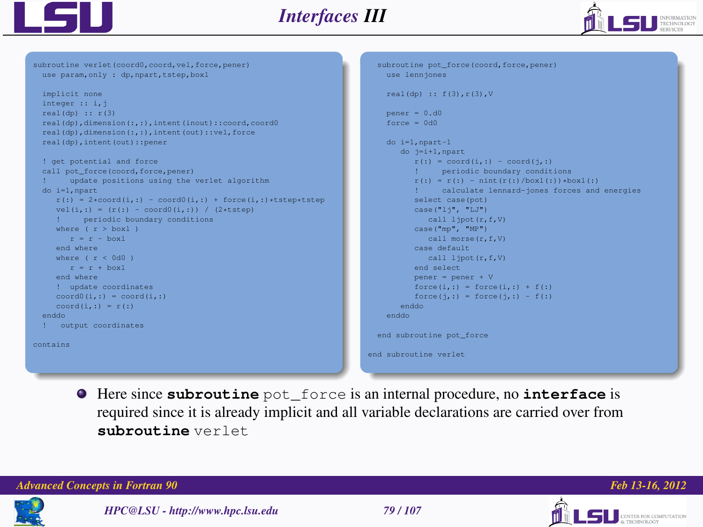



use param, only : dp, npart, tstep, boxl implicit none integer :: i,j  $real(dp) :: r(3)$ real(dp),dimension(:,:),intent(inout)::coord,coord0 real(dp),dimension(:,:),intent(out)::vel,force real(dp),intent(out)::pener ! get potential and force call pot\_force(coord,force,pener) update positions using the verlet algorithm do i=1,npart  $r(:) = 2*coord(i,:) = coord(1,:) + force(i,:)*tstep*tstep$  $vel(i,:) = (r(:) = coord0(i,:)) / (2*tstep)$ ! periodic boundary conditions where  $(r > h(x) - 1)$  $r - r -$  boxl end where where  $(r < 0d0)$  $r - r +$  boxl end where ! update coordinates  $coord(1,:) = coord(i,:)$  $coord(i, \cdot) = r(\cdot)$ enddo ! output coordinates contains

subroutine verlet(coord0,coord,vel,force,pener)

```
subroutine pot_force(coord, force, pener)
    use lennjones
    real(dp) :: f(3),r(3),V
    pener = 0.d0
    force = 0d0do i=1,npart-1
        do j=i+1,npart
          r(:) = coord(i,:) = coord(j,:)<br>
" = periodic boundary condition! periodic boundary conditions
           r(:) = r(:) = \text{nint}(r(:)/\text{boxl}(:))*\text{boxl}(:)calculate lennard-jones forces and energies
          select case(pot)
          case("lj", "LJ")
              call ljpot(r, f, V)case("mp", "MP")
              call morse(r,f,V)
          case default
              call lipot(r,f,V)
          end select
          pener = pener + V
          force(i,:) - force(i,:) + f(i)force(i,:) - force(i,:) - f(i)enddo
    enddo
  end subroutine pot_force
end subroutine verlet
```
Here since **subroutine** pot\_force is an internal procedure, no **interface** is required since it is already implicit and all variable declarations are carried over from **subroutine** verlet







**CENTER FOR COMPUTATION**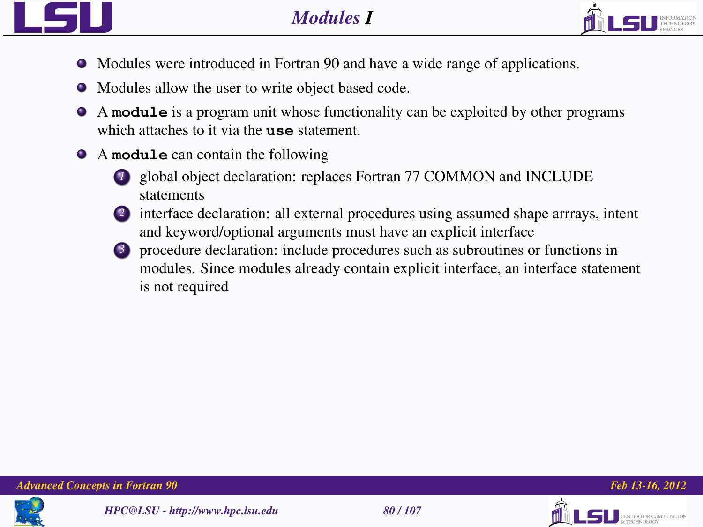

- 
- Modules were introduced in Fortran 90 and have a wide range of applications.
- Modules allow the user to write object based code.
- A **module** is a program unit whose functionality can be exploited by other programs which attaches to it via the **use** statement.
- A **module** can contain the following
	- *1* global object declaration: replaces Fortran 77 COMMON and INCLUDE statements
	- 2 interface declaration: all external procedures using assumed shape arrrays, intent and keyword/optional arguments must have an explicit interface
	- *3* procedure declaration: include procedures such as subroutines or functions in modules. Since modules already contain explicit interface, an interface statement is not required







TER ROB COMPETENTION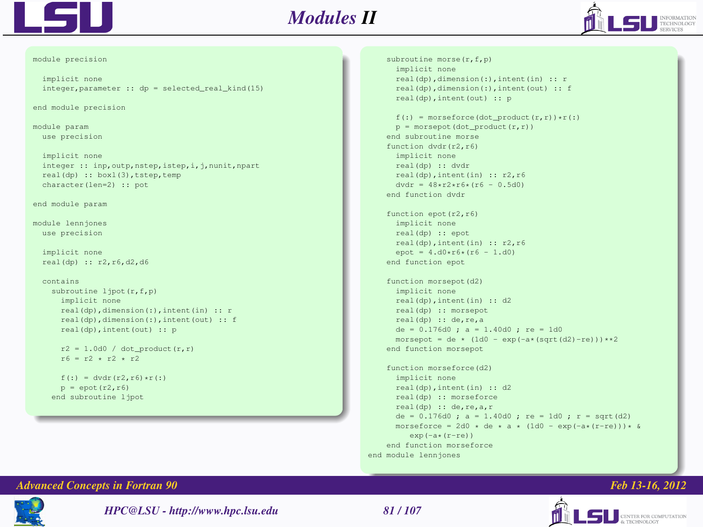

module precision

## *Modules II*



```
implicit none
  inter{error}, parameter \cdot: dp = selected_real_kind(15)
end module precision
module param
  use precision
  implicit none
  integer :: inp, outp, nstep, istep, i, j, nunit, npart
  real(dp) :: boxl(3),tstep,temp
  character(len=2) :: pot
end module param
module lennjones
  use precision
  implicit none
  real(dp) :: r2,r6,d2,d6
  contains
    subroutine ljpot(r,f,p)
      implicit none
      real(dp),dimension(:),intent(in) :: r
      real(dp),dimension(:),intent(out) :: f
      real(dp),intent(out) :: p
      r2 = 1.0d0 / dot\_product(r,r)r6 = r2 + r2 + r2f(:) = dvdr(r2, r6) *r(:)p = \text{enot}(r^2, r^2)end subroutine ljpot
```
subroutine morse(r,f,p) implicit none real(dp),dimension(:),intent(in) :: r real(dp),dimension(:),intent(out) :: f real(dp),intent(out) :: p  $f(\cdot)$  = morseforce(dot\_product(r,r))\*r(:)  $p =$  morsepot(dot\_product(r,r)) end subroutine morse function dvdr(r2,r6) implicit none real(dp) :: dvdr real(dp),intent(in) :: r2,r6  $dvdr = 48 \times r2 \times r6 \times (r6 - 0.5d0)$ end function dvdr function epot(r2,r6) implicit none real(dp) :: epot real(dp),intent(in) :: r2,r6  $\text{enot} = 4 \cdot \text{d}0 \cdot \text{r}6 \cdot (r6 - 1 \cdot \text{d}0)$ end function epot function morsepot(d2) implicit none real(dp),intent(in) :: d2 real(dp) :: morsepot real(dp) :: de,re,a de = 0.176d0 ; a = 1.40d0 ; re = 1d0 morsepot =  $de \cdot (1d0 - exp(-a \cdot (sqrt(1d2)-re))) \cdot \cdot 2$ end function morsepot function morseforce(d2) implicit none real(dp),intent(in) :: d2 real(dp) :: morseforce real(dp) :: de,re,a,r  $de = 0.176d0 : a = 1.40d0 : re = 1d0 : r = start(d2)$ morseforce =  $2d0 \times de \times a \times (1d0 - exp(-a \times (r-re))) \times a$  $exp(-a*(r-re))$ end function morseforce end module lennjones

### *Advanced Concepts in Fortran 90 Feb 13-16, 2012*



*HPC@LSU - http://www.hpc.lsu.edu 81 / 107*

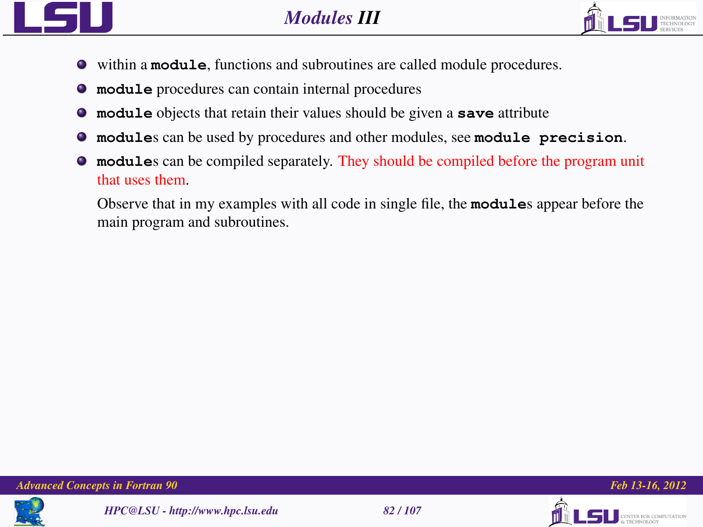



- within a **module**, functions and subroutines are called module procedures.
- **module** procedures can contain internal procedures
- **module** objects that retain their values should be given a **save** attribute
- $\bullet$ **module**s can be used by procedures and other modules, see **module precision**.
- **module**s can be compiled separately. They should be compiled before the program unit that uses them.

Observe that in my examples with all code in single file, the **module**s appear before the main program and subroutines.





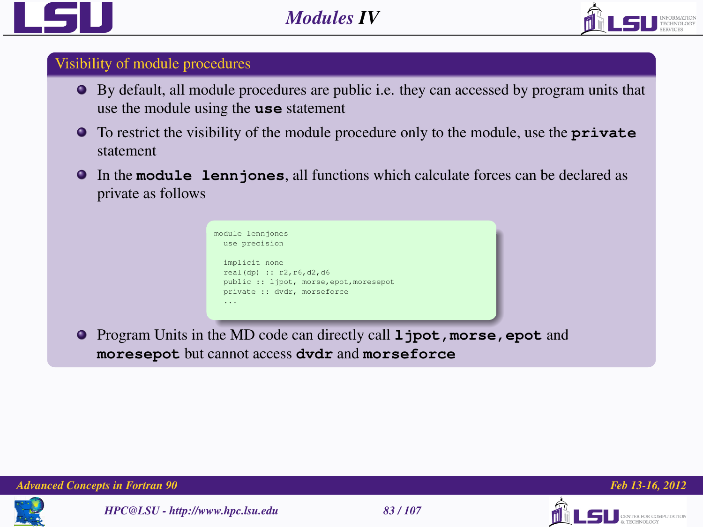



## Visibility of module procedures

- By default, all module procedures are public i.e. they can accessed by program units that use the module using the **use** statement
- To restrict the visibility of the module procedure only to the module, use the **private** statement
- In the **module lennjones**, all functions which calculate forces can be declared as private as follows



**Program Units in the MD code can directly call 1 jpot, morse, epot** and **moresepot** but cannot access **dvdr** and **morseforce**







**FOR COMPUTATION**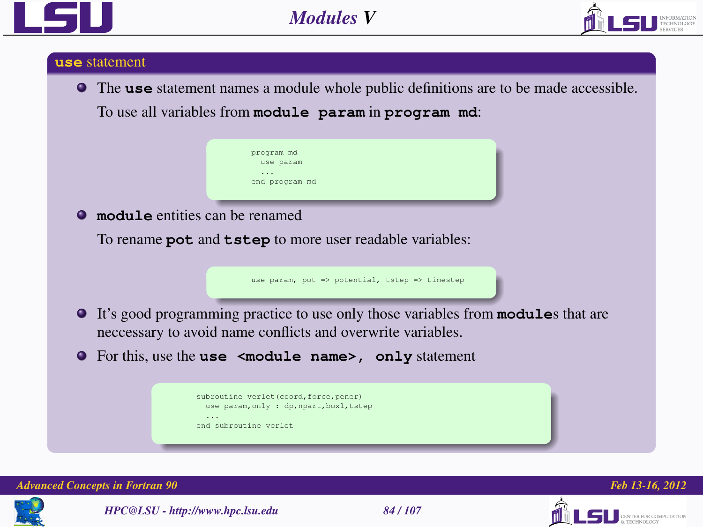



### **use** statement

The **use** statement names a module whole public definitions are to be made accessible.

To use all variables from **module param** in **program md**:



**module** entities can be renamed

To rename **pot** and **tstep** to more user readable variables:

use param, pot => potential, tstep => timestep

- It's good programming practice to use only those variables from **module**s that are neccessary to avoid name conflicts and overwrite variables.
- For this, use the **use <module name>, only** statement

| subroutine verlet (coord, force, pener)          |  |  |                                          |
|--------------------------------------------------|--|--|------------------------------------------|
|                                                  |  |  | use param, only : dp, npart, boxl, tstep |
| $\cdot$ $\cdot$ $\cdot$<br>end subroutine verlet |  |  |                                          |





*HPC@LSU - http://www.hpc.lsu.edu 84 / 107*



ER FOR COMPUTATION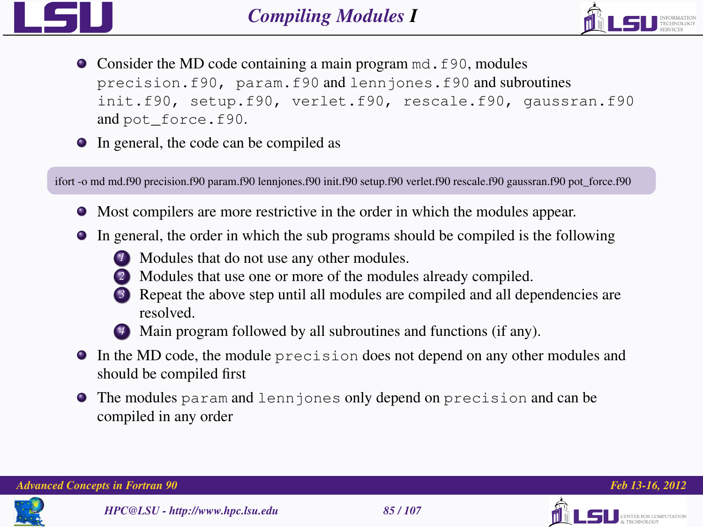



- Consider the MD code containing a main program md. f90, modules precision.f90, param.f90 and lennjones.f90 and subroutines init.f90, setup.f90, verlet.f90, rescale.f90, gaussran.f90 and pot\_force.f90.
- In general, the code can be compiled as

ifort -o md md.f90 precision.f90 param.f90 lennjones.f90 init.f90 setup.f90 verlet.f90 rescale.f90 gaussran.f90 pot force.f90

- Most compilers are more restrictive in the order in which the modules appear.
- In general, the order in which the sub programs should be compiled is the following
	- *1* Modules that do not use any other modules.
	- *2* Modules that use one or more of the modules already compiled.
	- *3* Repeat the above step until all modules are compiled and all dependencies are resolved.



- In the MD code, the module precision does not depend on any other modules and should be compiled first
- The modules param and lennjones only depend on precision and can be compiled in any order







TER FOR COMPUTATION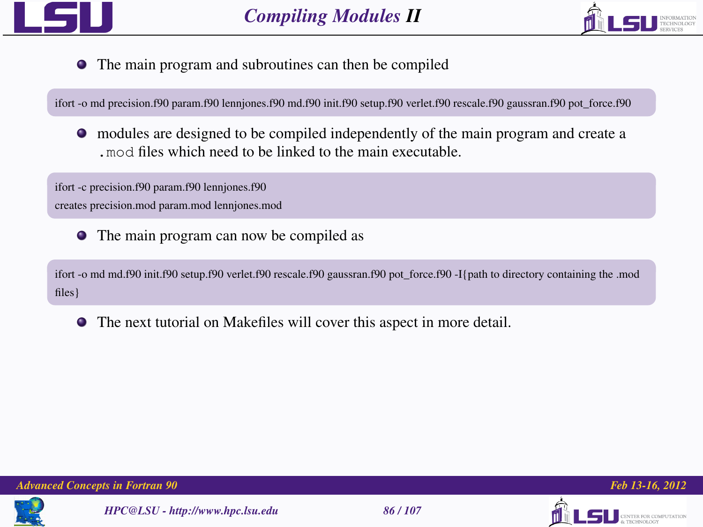



The main program and subroutines can then be compiled

ifort -o md precision.f90 param.f90 lennjones.f90 md.f90 init.f90 setup.f90 verlet.f90 rescale.f90 gaussran.f90 pot\_force.f90

modules are designed to be compiled independently of the main program and create a .mod files which need to be linked to the main executable.

ifort -c precision.f90 param.f90 lennjones.f90 creates precision.mod param.mod lennjones.mod

The main program can now be compiled as

ifort -o md md.f90 init.f90 setup.f90 verlet.f90 rescale.f90 gaussran.f90 pot force.f90 -I{path to directory containing the .mod files}

The next tutorial on Makefiles will cover this aspect in more detail.





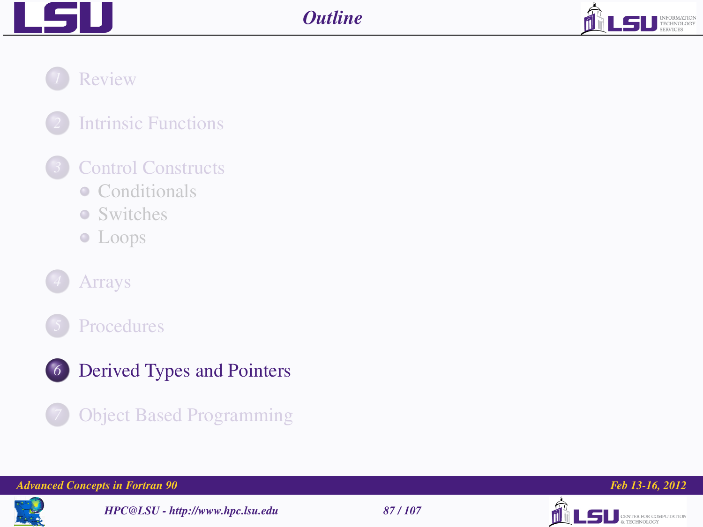



*1* [Review](#page-2-0)

*2* [Intrinsic Functions](#page-10-0)

## *3* [Control Constructs](#page-14-0)

- [Conditionals](#page-16-0)
- [Switches](#page-22-0)
- [Loops](#page-25-0)







## *6* [Derived Types and Pointers](#page-86-0)



*Advanced Concepts in Fortran 90 Feb 13-16, 2012*



*HPC@LSU - http://www.hpc.lsu.edu 87 / 107*



<span id="page-86-0"></span>

**LSU** CENTER FOR COMPUTATION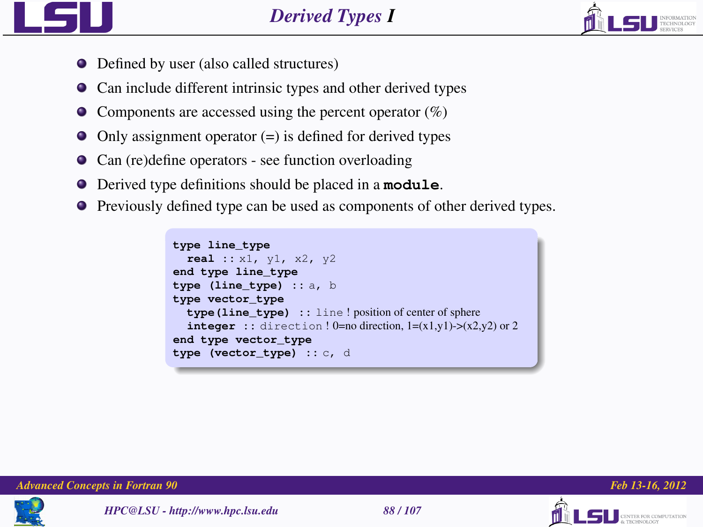

- Defined by user (also called structures)
- Can include different intrinsic types and other derived types
- $\bullet$  Components are accessed using the percent operator (%)
- $\bullet$  Only assignment operator (=) is defined for derived types
- Can (re)define operators see function overloading
- Derived type definitions should be placed in a **module**.
- Previously defined type can be used as components of other derived types.

```
type line_type
  real :: x1, y1, x2, y2
end type line_type
type (line_type) :: a, b
type vector_type
  type(line_type) :: line ! position of center of sphere
  integer :: direction ! 0=no direction, 1=(x1,y1) > (x2,y2) or 2end type vector_type
type (vector_type) :: c, d
```


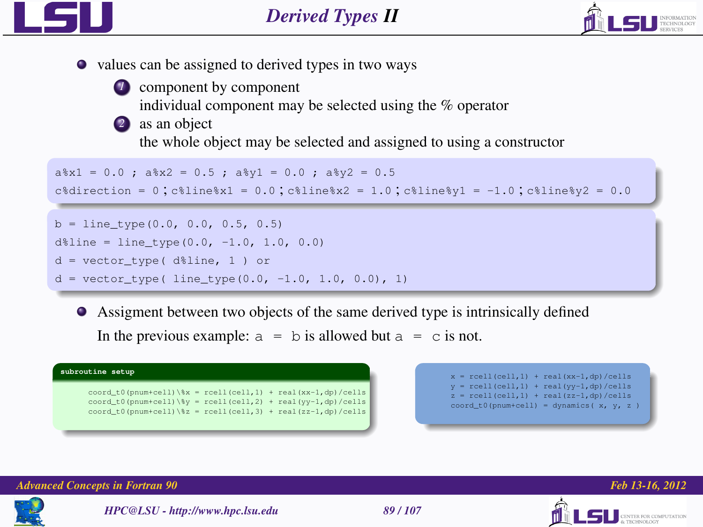



*1* component by component

individual component may be selected using the % operator

*2* as an object

the whole object may be selected and assigned to using a constructor

```
a*x1 = 0.0 ; a*x2 = 0.5 ; a*x1 = 0.0 ; a*x2 = 0.5
```

```
c<sup>2</sup>direction = 0:c<sup>2</sup>ilinex1 = 0.0:c<sup>2</sup>ilinex2 = 1.0:c<sup>2</sup>ilinex1 = -1.0:c<sup>2</sup>ilinex2 = 0.0
```

```
b = line type(0.0, 0.0, 0.5, 0.5)d$line = line_type(0.0, -1.0, 1.0, 0.0)d = vector_type( d%line, 1 ) or
d = vector type( line type(0.0, -1.0, 1.0, 0.0), 1)
```
Assigment between two objects of the same derived type is intrinsically defined In the previous example:  $a = b$  is allowed but  $a = c$  is not.







*HPC@LSU - http://www.hpc.lsu.edu 89 / 107*



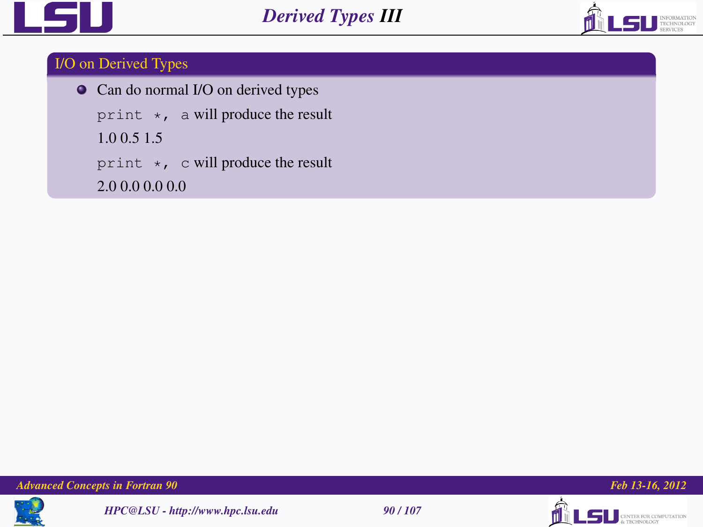



## I/O on Derived Types

 $\bullet$  Can do normal I/O on derived types

print  $\star$ , a will produce the result

1.0 0.5 1.5

print \*, c will produce the result

2.0 0.0 0.0 0.0









**LSU** CENTER FOR COMPUTATION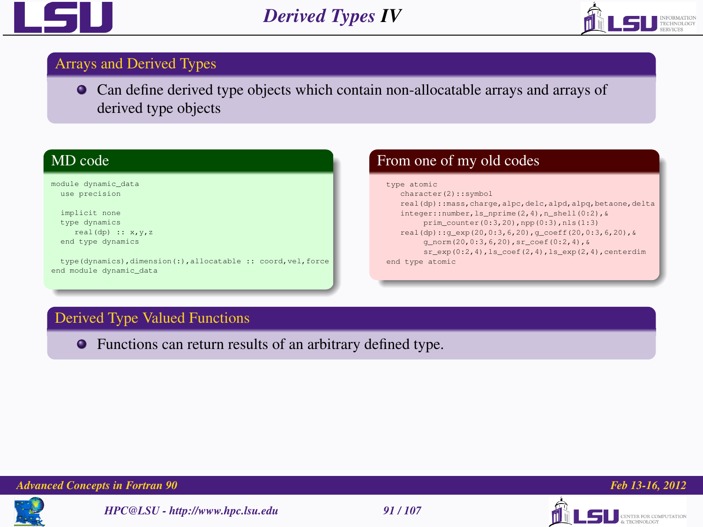



## Arrays and Derived Types

Can define derived type objects which contain non-allocatable arrays and arrays of derived type objects

## MD code

module dynamic\_data use precision

implicit none type dynamics real(dp) :: x,y,z end type dynamics

type(dynamics),dimension(:),allocatable :: coord,vel,force end module dynamic\_data

## From one of my old codes

### type atomic character(2)::symbol real(dp)::mass,charge,alpc,delc,alpd,alpq,betaone,delta integer::number,ls\_nprime(2,4),n\_shell(0:2),& prim\_counter(0:3,20),npp(0:3),nls(1:3) real(dp)::g\_exp(20,0:3,6,20),g\_coeff(20,0:3,6,20),& g\_norm(20,0:3,6,20),sr\_coef(0:2,4),& sr\_exp(0:2,4),ls\_coef(2,4),ls\_exp(2,4),centerdim end type atomic

## Derived Type Valued Functions

Functions can return results of an arbitrary defined type.



*HPC@LSU - http://www.hpc.lsu.edu 91 / 107*





**INTER FOR COMPUTATION**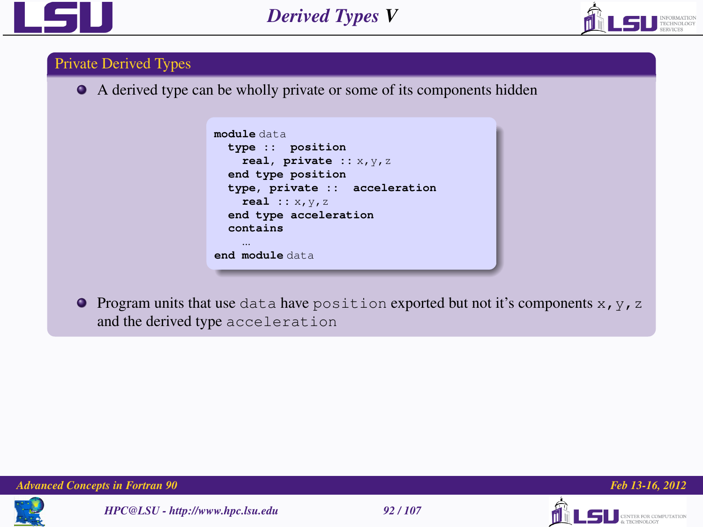



## Private Derived Types

A derived type can be wholly private or some of its components hidden

```
module data
 type :: position
   real, private :: x,y,z
 end type position
 type, private :: acceleration
   real :: x,y,z
 end type acceleration
  contains
end module data
```
**Program units that use** data have position exported but not it's components  $x, y, z$ and the derived type acceleration







ER FOR COMPUTATION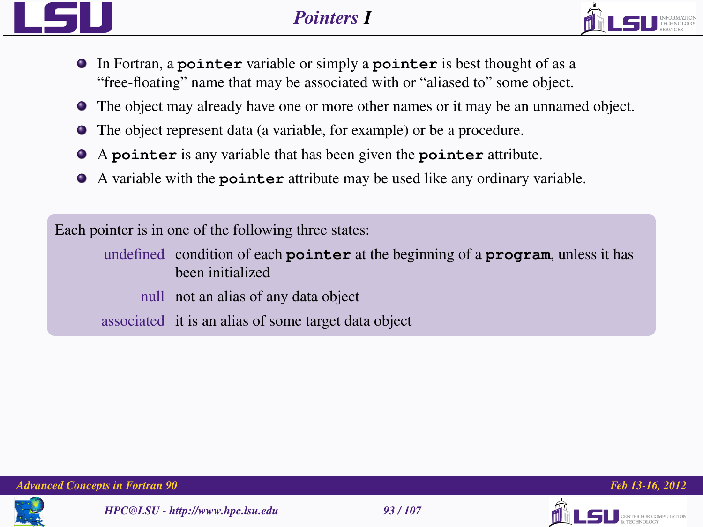



- In Fortran, a **pointer** variable or simply a **pointer** is best thought of as a "free-floating" name that may be associated with or "aliased to" some object.
- The object may already have one or more other names or it may be an unnamed object.
- The object represent data (a variable, for example) or be a procedure.
- A **pointer** is any variable that has been given the **pointer** attribute.
- A variable with the **pointer** attribute may be used like any ordinary variable.

Each pointer is in one of the following three states:

undefined condition of each **pointer** at the beginning of a **program**, unless it has been initialized

null not an alias of any data object

associated it is an alias of some target data object





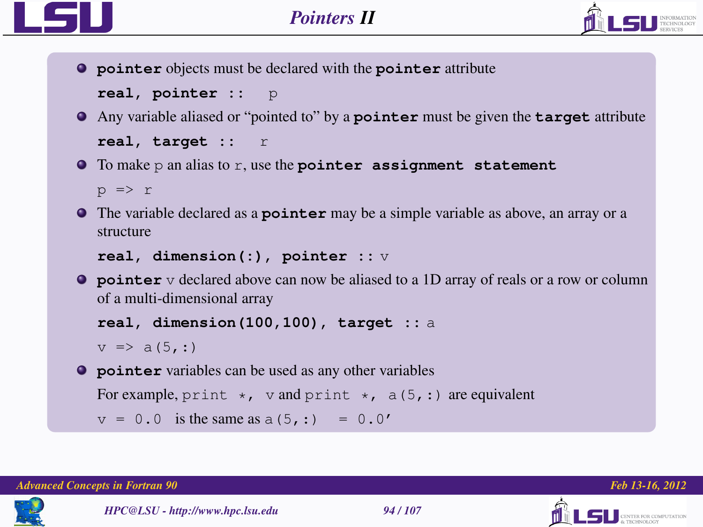

**pointer** objects must be declared with the **pointer** attribute

```
real, pointer :: p
```
- Any variable aliased or "pointed to" by a **pointer** must be given the **target** attribute **real, target ::** r
- To make p an alias to r, use the **pointer assignment statement**

```
p \Rightarrow r
```
The variable declared as a **pointer** may be a simple variable as above, an array or a structure

```
real, dimension(:), pointer :: v
```
**P** pointer v declared above can now be aliased to a 1D array of reals or a row or column of a multi-dimensional array

```
real, dimension(100,100), target :: a
```

```
v \Rightarrow a(5,:)
```
**pointer** variables can be used as any other variables For example, print  $\star$ , v and print  $\star$ , a(5,:) are equivalent  $v = 0.0$  is the same as  $a(5, :) = 0.0'$ 



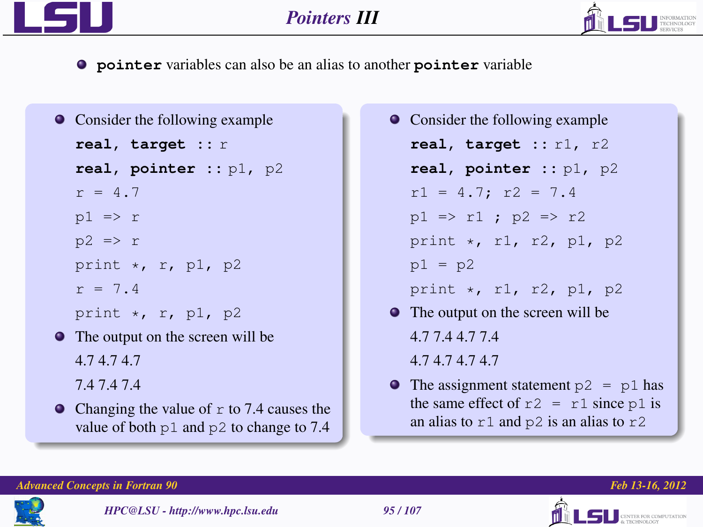

**pointer** variables can also be an alias to another **pointer** variable

```
• Consider the following example
   real, target :: r
   real, pointer :: p1, p2
   r = 4.7p1 \Rightarrow rp2 \Rightarrow rprint \star, r, p1, p2
   r = 7.4print \star, r, p1, p2
The output on the screen will be
   4.7 4.7 4.7
   7.4 7.4 7.4
\bullet Changing the value of r to 7.4 causes the
   value of both p1 and p2 to change to 7.4
```
- Consider the following example **real, target ::** r1, r2 **real, pointer ::** p1, p2  $r1 = 4.7$ ;  $r2 = 7.4$  $p1 \implies r1$ ;  $p2 \implies r2$ print \*, r1, r2, p1, p2  $p1 = p2$ print \*, r1, r2, p1, p2 • The output on the screen will be 4.7 7.4 4.7 7.4 4.7 4.7 4.7 4.7
- $\bullet$  The assignment statement  $p2 = p1$  has the same effect of  $r2 = r1$  since p1 is an alias to  $r1$  and  $p2$  is an alias to  $r2$

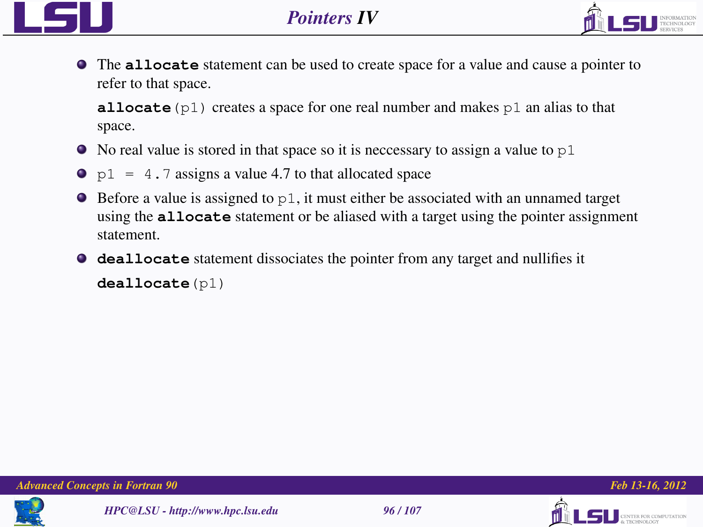



The **allocate** statement can be used to create space for a value and cause a pointer to refer to that space.

**allocate**  $(p1)$  creates a space for one real number and makes  $p1$  an alias to that space.

- $\bullet$  No real value is stored in that space so it is neccessary to assign a value to  $p1$
- $\bullet$  p1 = 4.7 assigns a value 4.7 to that allocated space
- $\bullet$  Before a value is assigned to  $p_1$ , it must either be associated with an unnamed target using the **allocate** statement or be aliased with a target using the pointer assignment statement.
- **deallocate** statement dissociates the pointer from any target and nullifies it **deallocate**(p1)







TER FOR COMPUTATION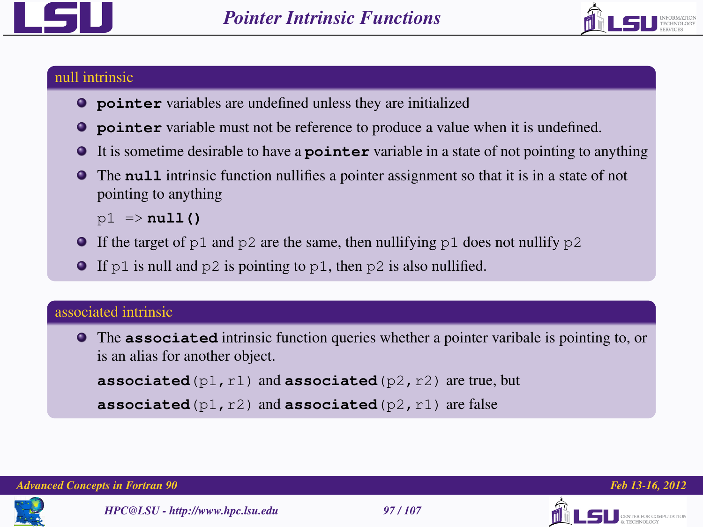



## null intrinsic

- **pointer** variables are undefined unless they are initialized
- **pointer** variable must not be reference to produce a value when it is undefined.
- It is sometime desirable to have a **pointer** variable in a state of not pointing to anything
- The **null** intrinsic function nullifies a pointer assignment so that it is in a state of not  $\bullet$ pointing to anything

p1 => **null()**

- If the target of p1 and p2 are the same, then nullifying p1 does not nullify p2
- If p1 is null and p2 is pointing to p1, then p2 is also nullified.

## associated intrinsic

The **associated** intrinsic function queries whether a pointer varibale is pointing to, or is an alias for another object. **associated**(p1,r1) and **associated**(p2,r2) are true, but

```
associated(p1,r2) and associated(p2,r1) are false
```


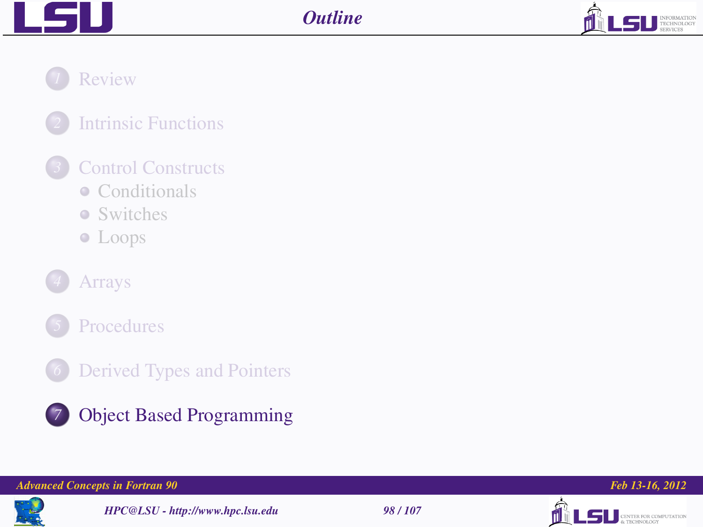



*1* [Review](#page-2-0)

*2* [Intrinsic Functions](#page-10-0)

## *3* [Control Constructs](#page-14-0)

- [Conditionals](#page-16-0)
- [Switches](#page-22-0)
- [Loops](#page-25-0)





*6* [Derived Types and Pointers](#page-86-0)



## *7* [Object Based Programming](#page-97-0)

## *Advanced Concepts in Fortran 90 Feb 13-16, 2012*



*HPC@LSU - http://www.hpc.lsu.edu 98 / 107*



<span id="page-97-0"></span>

**LSU** CENTER FOR COMPUTATION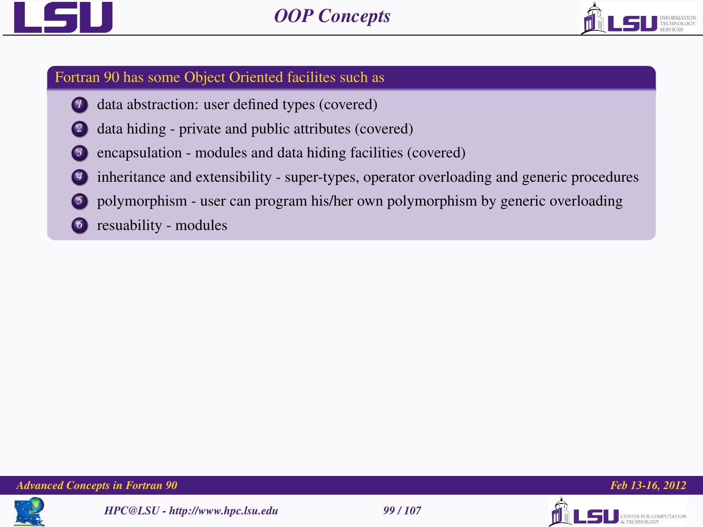



## Fortran 90 has some Object Oriented facilites such as

- data abstraction: user defined types (covered)
- data hiding private and public attributes (covered)
- *3* encapsulation modules and data hiding facilities (covered)
- *4* inheritance and extensibility super-types, operator overloading and generic procedures
- *5* polymorphism user can program his/her own polymorphism by generic overloading
- **6** resuability modules









LSII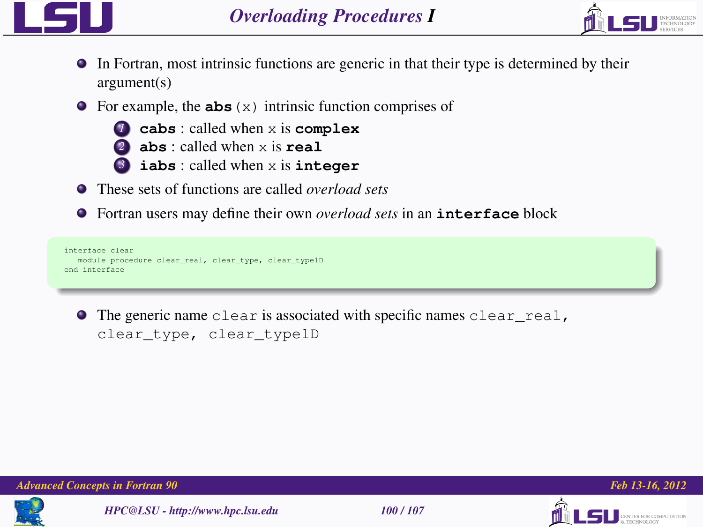



- In Fortran, most intrinsic functions are generic in that their type is determined by their argument(s)
- **•** For example, the **abs** (x) intrinsic function comprises of
	- *<sup>1</sup>* **cabs** : called when x is **complex**
	- *<sup>2</sup>* **abs** : called when x is **real**
	- *<sup>3</sup>* **iabs** : called when x is **integer**
- These sets of functions are called *overload sets*
- Fortran users may define their own *overload sets* in an **interface** block

```
interface clear
  module procedure clear_real, clear_type, clear_type1D
end interface
```
The generic name clear is associated with specific names clear\_real, clear\_type, clear\_type1D





*HPC@LSU - http://www.hpc.lsu.edu 100 / 107*





THE ROB COMPETENTION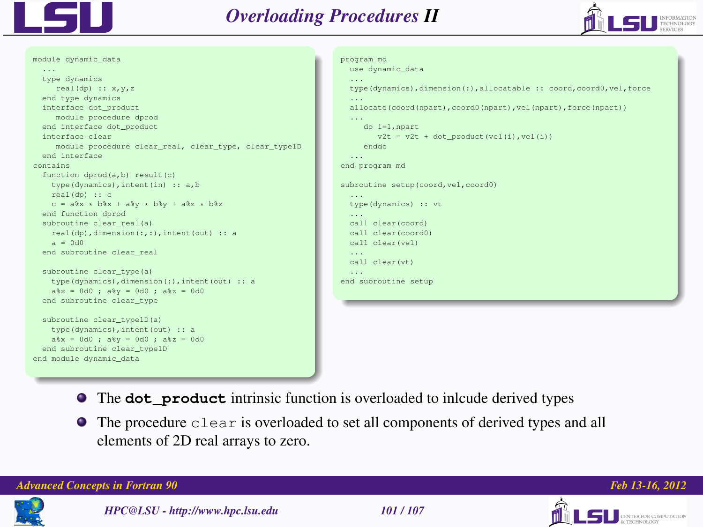



module dynamic\_data ... type dynamics  $real(dp) :: x,y,z$ end type dynamics interface dot\_product module procedure dprod end interface dot\_product interface clear module procedure clear\_real, clear\_type, clear\_type1D end interface contains function dprod(a,b) result(c) type(dynamics),intent(in) :: a,b real(dp) :: c  $c = a*x * b*x + a*y * b*y + a*z * b*z$ end function dprod subroutine clear\_real(a) real(dp),dimension(:,:),intent(out) :: a  $a = 0d0$ end subroutine clear\_real subroutine clear\_type(a) type(dynamics),dimension(:),intent(out) :: a a%x = 0d0 ; a%y = 0d0 ; a%z = 0d0 end subroutine clear\_type subroutine clear type1D(a) type(dynamics),intent(out) :: a a%x = 0d0 ; a%y = 0d0 ; a%z = 0d0 end subroutine clear\_type1D end module dynamic\_data

```
program md
 use dynamic_data
  ...
type(dynamics),dimension(:),allocatable :: coord,coord0,vel,force
 ...
 allocate(coord(npart),coord0(npart),vel(npart),force(npart))
  ...
     do i=1,npart
        v2t - v2t + dot\_product(vel(i), vel(i))enddo
 ...
end program md
subroutine setup(coord,vel,coord0)
 type(dynamics) :: vt
 ...
 call clear(coord)
 call clear(coord0)
 call clear(vel)
 call clear(vt)
 ...
end subroutine setup
```
- The **dot\_product** intrinsic function is overloaded to inlcude derived types
- The procedure clear is overloaded to set all components of derived types and all elements of 2D real arrays to zero.

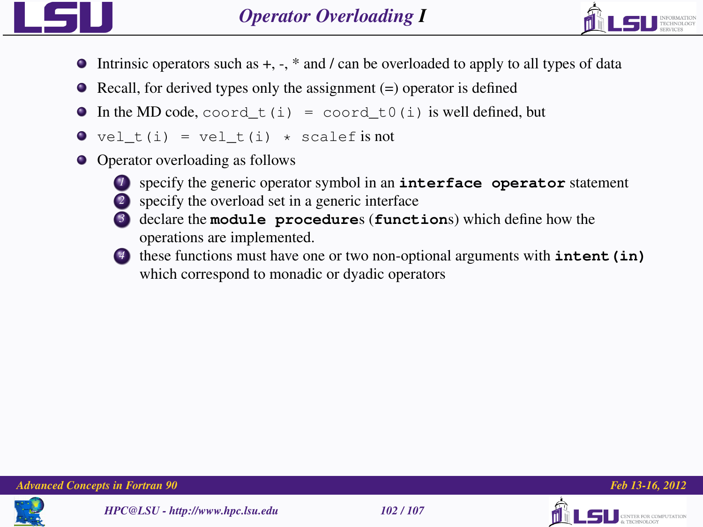



- $\bullet$  Intrinsic operators such as  $+$ ,  $-$ ,  $*$  and */* can be overloaded to apply to all types of data
- $\bullet$  Recall, for derived types only the assignment (=) operator is defined
- $\bullet$  In the MD code, coord\_t(i) = coord\_t0(i) is well defined, but
- $\bullet$  vel t(i) = vel t(i) \* scalef is not
- Operator overloading as follows



- *<sup>1</sup>* specify the generic operator symbol in an **interface operator** statement
- *2* specify the overload set in a generic interface
- *<sup>3</sup>* declare the **module procedure**s (**function**s) which define how the operations are implemented.
- 
- *<sup>4</sup>* these functions must have one or two non-optional arguments with **intent(in)** which correspond to monadic or dyadic operators







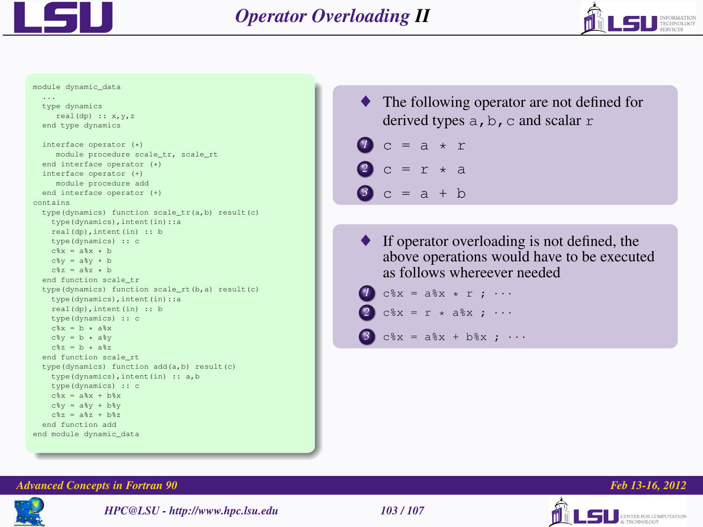

...



#### module dynamic\_data

```
type dynamics
     real(dp) :: x,y,z
  end type dynamics
  interface operator (*)
     module procedure scale_tr, scale_rt
  end interface operator (*)
  interface operator (+)
     module procedure add
  end interface operator (+)
contains
  type(dynamics) function scale_tr(a,b) result(c)
   type(dynamics),intent(in)::a
    real(dp),intent(in) :: b
   type(dynamics) :: c
   c<sup>$x</sup> = a<sup>$x</sup> + b
   c%y - a%y \star b
   c\{z} - a\{z} + b
  end function scale_tr
  type(dynamics) function scale_rt(b,a) result(c)
    type(dynamics),intent(in)::a
    real(dp),intent(in) :: b
   type(dynamics) :: c
   c*x = b * a*xc\{ev} = b \cdot ab
    c\{z - b + a\}z
  end function scale_rt
  type(dynamics) function add(a,b) result(c)
   type(dynamics),intent(in) :: a,b
   type(dynamics) :: c
   c*x = a*x + b*xc \frac{8}{y} - a \frac{8}{y} + b \frac{8}{y}c\{z} = a\{z} + h\{z}
  end function add
end module dynamic_data
```
The following operator are not defined for derived types  $a, b, c$  and scalar  $r$ 

$$
\begin{array}{c}\n\bullet \text{ c = a \cdot r} \\
\bullet \text{ c = r \cdot a} \\
\bullet \text{ c = a + b}\n\end{array}
$$

If operator overloading is not defined, the above operations would have to be executed as follows whereever needed

```
cx = ax * r ; \cdotsc x = r * a x : \cdots
```

```
c%x = a%x + b%x ; \cdots
```


### *Advanced Concepts in Fortran 90 Feb 13-16, 2012*



*HPC@LSU - http://www.hpc.lsu.edu 103 / 107*



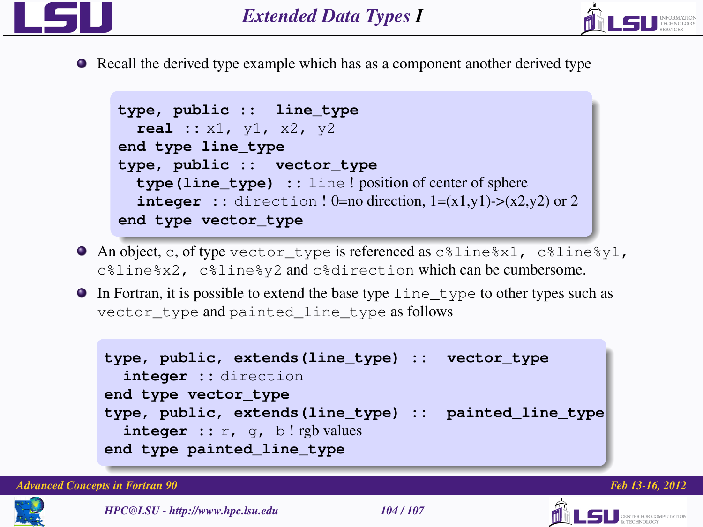



• Recall the derived type example which has as a component another derived type

```
type, public :: line_type
  real :: x1, y1, x2, y2
end type line_type
type, public :: vector_type
  type(line_type) :: line ! position of center of sphere
  integer :: direction ! 0=no direction, 1=(x1,y1) > (x2,y2) or 2end type vector_type
```
- An object, c, of type vector\_type is referenced as c%line%x1, c%line%y1, c%line%x2, c%line%y2 and c%direction which can be cumbersome.
- $\bullet$  In Fortran, it is possible to extend the base type  $\exists$  ine type to other types such as vector\_type and painted\_line\_type as follows

```
type, public, extends(line_type) :: vector_type
  integer :: direction
end type vector_type
type, public, extends(line_type) :: painted_line_type
  integer :: r, q, b ! rgb values
end type painted_line_type
```
*Advanced Concepts in Fortran 90 Feb 13-16, 2012*





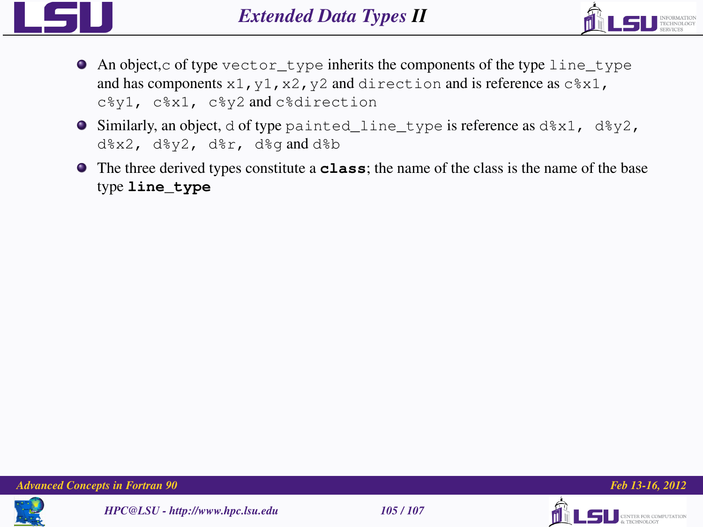



- An object,c of type vector\_type inherits the components of the type line\_type and has components  $x1$ ,  $y1$ ,  $x2$ ,  $y2$  and direction and is reference as  $c*x1$ , c%y1, c%x1, c%y2 and c%direction
- Similarly, an object, d of type painted\_line\_type is reference as d%x1, d%y2, d%x2, d%y2, d%r, d%g and d%b
- The three derived types constitute a **class**; the name of the class is the name of the base type **line\_type**







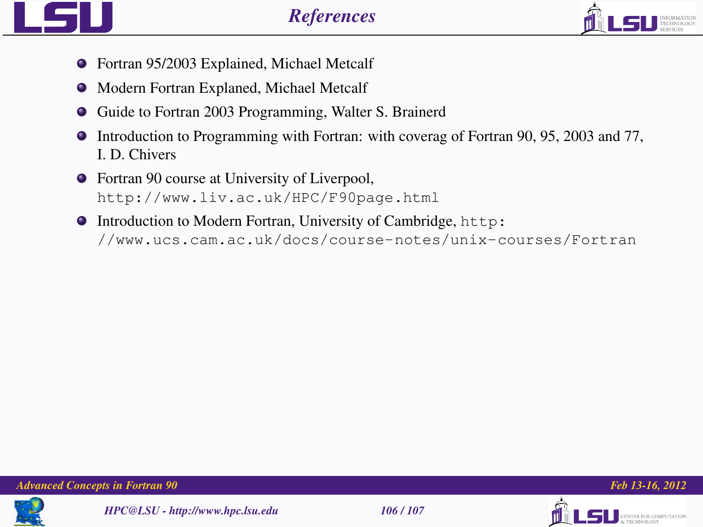

- Fortran 95/2003 Explained, Michael Metcalf
- $\bullet$  Modern Fortran Explaned, Michael Metcalf
- Guide to Fortran 2003 Programming, Walter S. Brainerd
- Introduction to Programming with Fortran: with coverag of Fortran 90, 95, 2003 and 77, I. D. Chivers
- Fortran 90 course at University of Liverpool, <http://www.liv.ac.uk/HPC/F90page.html>
- $\bullet$  Introduction to Modern Fortran, University of Cambridge, [http:](http://www.ucs.cam.ac.uk/docs/course-notes/unix-courses/Fortran) [//www.ucs.cam.ac.uk/docs/course-notes/unix-courses/Fortran](http://www.ucs.cam.ac.uk/docs/course-notes/unix-courses/Fortran)